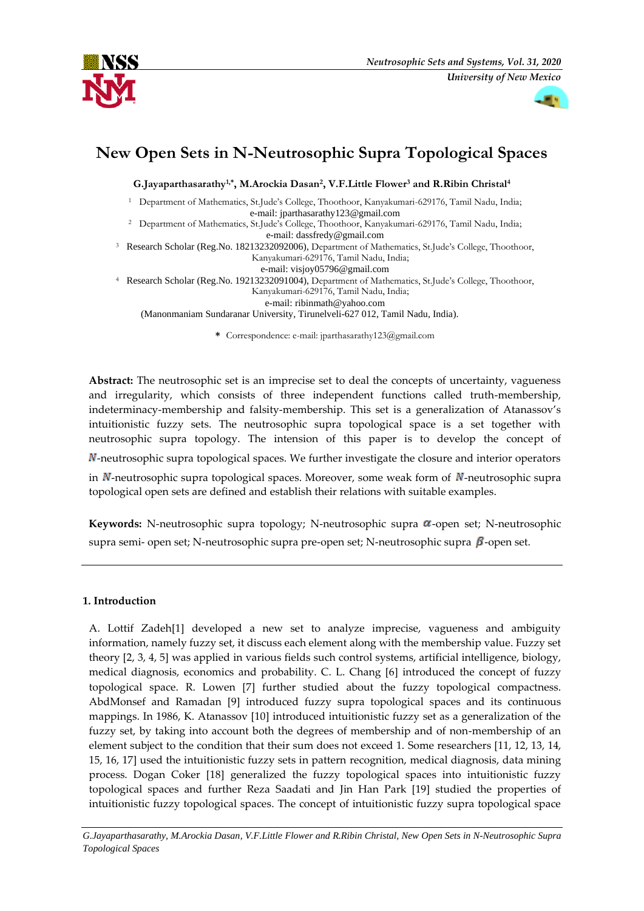



# **New Open Sets in N-Neutrosophic Supra Topological Spaces**

**G.Jayaparthasarathy1,\*, M.Arockia Dasan<sup>2</sup> , V.F.Little Flower<sup>3</sup> and R.Ribin Christal<sup>4</sup>**

<sup>1</sup> Department of Mathematics, St.Jude's College, Thoothoor, Kanyakumari-629176, Tamil Nadu, India; [e-mail: jparthasarathy123@gmail.com](mailto:e-mail:%20visjoy05796@gmail.com)

<sup>2</sup> Department of Mathematics, St.Jude's College, Thoothoor, Kanyakumari-629176, Tamil Nadu, India; [e-mail: dassfredy@gmail.com](mailto:e-mail:%20visjoy05796@gmail.com)

<sup>3</sup> Research Scholar (Reg.No. 18213232092006), Department of Mathematics, St.Jude's College, Thoothoor, Kanyakumari-629176, Tamil Nadu, India;

e-mail: [visjoy05796@gmail.com](mailto:e-mail@e-mail.com)

<sup>4</sup> Research Scholar (Reg.No. 19213232091004), Department of Mathematics, St.Jude's College, Thoothoor, Kanyakumari-629176, Tamil Nadu, India;

e-mail: [ribinmath@yahoo.com](mailto:e-mail@e-mail.com)

(Manonmaniam Sundaranar University, Tirunelveli-627 012, Tamil Nadu, India).

**\*** Correspondence: e-mail: jparthasarathy123@gmail.com

**Abstract:** The neutrosophic set is an imprecise set to deal the concepts of uncertainty, vagueness and irregularity, which consists of three independent functions called truth-membership, indeterminacy-membership and falsity-membership. This set is a generalization of Atanassov's intuitionistic fuzzy sets. The neutrosophic supra topological space is a set together with neutrosophic supra topology. The intension of this paper is to develop the concept of  $\mathbb N$ -neutrosophic supra topological spaces. We further investigate the closure and interior operators in  $N$ -neutrosophic supra topological spaces. Moreover, some weak form of  $N$ -neutrosophic supra topological open sets are defined and establish their relations with suitable examples.

**Keywords:** N-neutrosophic supra topology; N-neutrosophic supra  $\alpha$ -open set; N-neutrosophic supra semi- open set; N-neutrosophic supra pre-open set; N-neutrosophic supra  $\beta$ -open set.

## **1. Introduction**

A. Lottif Zadeh[1] developed a new set to analyze imprecise, vagueness and ambiguity information, namely fuzzy set, it discuss each element along with the membership value. Fuzzy set theory [2, 3, 4, 5] was applied in various fields such control systems, artificial intelligence, biology, medical diagnosis, economics and probability. C. L. Chang [6] introduced the concept of fuzzy topological space. R. Lowen [7] further studied about the fuzzy topological compactness. AbdMonsef and Ramadan [9] introduced fuzzy supra topological spaces and its continuous mappings. In 1986, K. Atanassov [10] introduced intuitionistic fuzzy set as a generalization of the fuzzy set, by taking into account both the degrees of membership and of non-membership of an element subject to the condition that their sum does not exceed 1. Some researchers [11, 12, 13, 14, 15, 16, 17] used the intuitionistic fuzzy sets in pattern recognition, medical diagnosis, data mining process. Dogan Coker [18] generalized the fuzzy topological spaces into intuitionistic fuzzy topological spaces and further Reza Saadati and Jin Han Park [19] studied the properties of intuitionistic fuzzy topological spaces. The concept of intuitionistic fuzzy supra topological space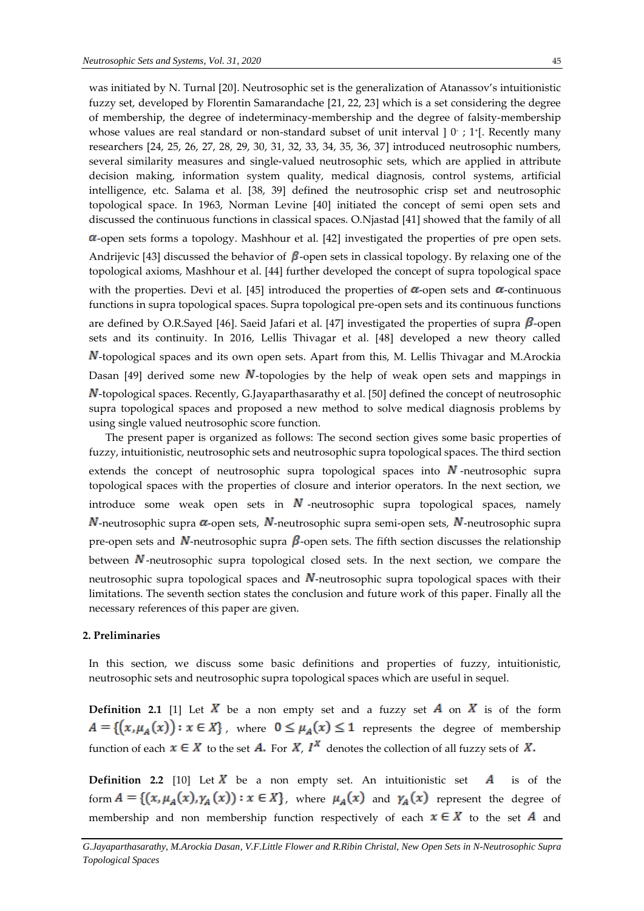was initiated by N. Turnal [20]. Neutrosophic set is the generalization of Atanassov's intuitionistic fuzzy set, developed by Florentin Samarandache [21, 22, 23] which is a set considering the degree of membership, the degree of indeterminacy-membership and the degree of falsity-membership whose values are real standard or non-standard subset of unit interval ] 0 ; 1+[. Recently many researchers [24, 25, 26, 27, 28, 29, 30, 31, 32, 33, 34, 35, 36, 37] introduced neutrosophic numbers, several similarity measures and single-valued neutrosophic sets, which are applied in attribute decision making, information system quality, medical diagnosis, control systems, artificial intelligence, etc. Salama et al. [38, 39] defined the neutrosophic crisp set and neutrosophic topological space. In 1963, Norman Levine [40] initiated the concept of semi open sets and discussed the continuous functions in classical spaces. O.Njastad [41] showed that the family of all  $\alpha$ -open sets forms a topology. Mashhour et al. [42] investigated the properties of pre open sets. Andrijevic [43] discussed the behavior of  $\beta$ -open sets in classical topology. By relaxing one of the topological axioms, Mashhour et al. [44] further developed the concept of supra topological space with the properties. Devi et al. [45] introduced the properties of  $\alpha$ -open sets and  $\alpha$ -continuous functions in supra topological spaces. Supra topological pre-open sets and its continuous functions are defined by O.R.Sayed [46]. Saeid Jafari et al. [47] investigated the properties of supra  $\beta$ -open sets and its continuity. In 2016, Lellis Thivagar et al. [48] developed a new theory called -topological spaces and its own open sets. Apart from this, M. Lellis Thivagar and M.Arockia Dasan [49] derived some new N-topologies by the help of weak open sets and mappings in N-topological spaces. Recently, G.Jayaparthasarathy et al. [50] defined the concept of neutrosophic supra topological spaces and proposed a new method to solve medical diagnosis problems by using single valued neutrosophic score function.

The present paper is organized as follows: The second section gives some basic properties of fuzzy, intuitionistic, neutrosophic sets and neutrosophic supra topological spaces. The third section extends the concept of neutrosophic supra topological spaces into  $N$ -neutrosophic supra topological spaces with the properties of closure and interior operators. In the next section, we introduce some weak open sets in  $N$ -neutrosophic supra topological spaces, namely  $N$ -neutrosophic supra  $\alpha$ -open sets,  $N$ -neutrosophic supra semi-open sets,  $N$ -neutrosophic supra pre-open sets and  $N$ -neutrosophic supra  $\beta$ -open sets. The fifth section discusses the relationship between  $N$ -neutrosophic supra topological closed sets. In the next section, we compare the neutrosophic supra topological spaces and  $\overline{N}$ -neutrosophic supra topological spaces with their limitations. The seventh section states the conclusion and future work of this paper. Finally all the necessary references of this paper are given.

## **2. Preliminaries**

In this section, we discuss some basic definitions and properties of fuzzy, intuitionistic, neutrosophic sets and neutrosophic supra topological spaces which are useful in sequel.

**Definition 2.1** [1] Let X be a non empty set and a fuzzy set A on X is of the form  $A = \{ (x, \mu_A(x)) : x \in X \}$ , where  $0 \le \mu_A(x) \le 1$  represents the degree of membership function of each  $x \in X$  to the set **A**. For **X**,  $I^X$  denotes the collection of all fuzzy sets of **X**.

**Definition 2.2** [10] Let  $\overline{X}$  be a non empty set. An intuitionistic set  $\overline{A}$  is of the form  $A = \{(x, \mu_A(x), \gamma_A(x)) : x \in X\}$ , where  $\mu_A(x)$  and  $\gamma_A(x)$  represent the degree of membership and non membership function respectively of each  $x \in X$  to the set A and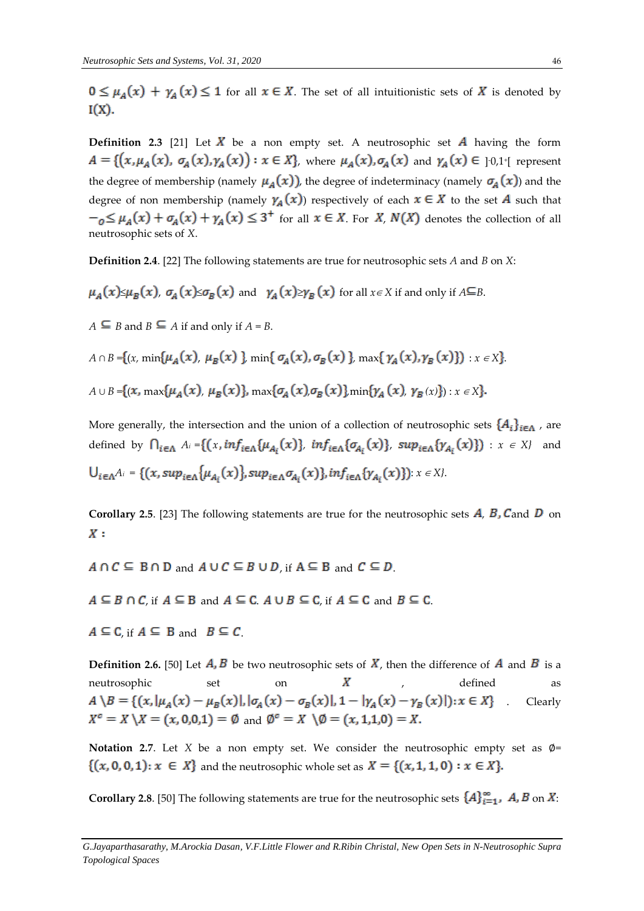$f(x) = \mu_A(x) + \gamma_A(x) \le 1$  for all  $x \in X$ . The set of all intuitionistic sets of X is denoted by  $I(X)$ .

**Definition 2.3** [21] Let  $\overline{X}$  be a non empty set. A neutrosophic set  $\overline{A}$  having the form , where  $\mu_A(x)$ ,  $\sigma_A(x)$  and  $\gamma_A(x) \in ]0,1^{\circ}]$  represent the degree of membership (namely  $\mu_A(x)$ ), the degree of indeterminacy (namely  $\sigma_A(x)$ ) and the degree of non membership (namely  $\gamma_A(x)$ ) respectively of each  $x \in X$  to the set A such that  $f_{0} \leq \mu_{A}(x) + \sigma_{A}(x) + \gamma_{A}(x) \leq 3^{+}$  for all  $x \in X$ . For X,  $N(X)$  denotes the collection of all neutrosophic sets of *X*.

**Definition 2.4**. [22] The following statements are true for neutrosophic sets *A* and *B* on *X*:

 $\mu_A(x) \leq \mu_B(x)$ ,  $\sigma_A(x) \leq \sigma_B(x)$  and  $\gamma_A(x) \geq \gamma_B(x)$  for all  $x \in X$  if and only if  $A \subseteq B$ .

 $A \subseteq B$  and  $B \subseteq A$  if and only if  $A = B$ .

*A* ∩ *B* = {(*x*, min{ $\mu_A(x)$ ,  $\mu_B(x)$ }, min{ $\sigma_A(x)$ ,  $\sigma_B(x)$ }, max{ $\gamma_A(x)$ ,  $\gamma_B(x)$ }) :  $x \in X$ }. *A* ∪ *B* = {(x, max { $\mu_A(x)$ ,  $\mu_B(x)$ }, max { $\sigma_A(x)$ ,  $\sigma_B(x)$ }, min { $\gamma_A(x)$ ,  $\gamma_B(x)$ }) :  $x \in X$ }.

More generally, the intersection and the union of a collection of neutrosophic sets  $\{A_i\}_{i\in\Lambda}$ , are defined by  $\bigcap_{i \in \Lambda} A_i = \{ (x, inf_{i \in \Lambda} \{ \mu_{A_i}(x) \}, inf_{i \in \Lambda} \{ \sigma_{A_i}(x) \}, sup_{i \in \Lambda} \{ \gamma_{A_i}(x) \} ) : x \in X \}$  and  $U_{i \in A}A_i = \{(x, \sup_{i \in A} {\mu_{A_i}(x)}\}, \sup_{i \in A} {\sigma_{A_i}(x)}\}, \inf_{i \in A} {\gamma_{A_i}(x)}\}$ :  $x \in X$ .

**Corollary 2.5.** [23] The following statements are true for the neutrosophic sets  $\vec{A}$ ,  $\vec{B}$ ,  $\vec{C}$  and  $\vec{D}$  on  $X:$ 

- $A \cap C \subseteq B \cap D$  and  $A \cup C \subseteq B \cup D$  if  $A \subseteq B$  and  $C \subseteq D$ .
- $A \subseteq B \cap C$ , if  $A \subseteq B$  and  $A \subseteq C$ .  $A \cup B \subseteq C$ , if  $A \subseteq C$  and  $B \subseteq C$ .
- $A \subseteq C$ , if  $A \subseteq B$  and  $B \subseteq C$ .

**Definition 2.6.** [50] Let  $\vec{A}$ ,  $\vec{B}$  be two neutrosophic sets of  $\vec{X}$ , then the difference of  $\vec{A}$  and  $\vec{B}$  is a neutrosophic set on  $X$  , defined as<br>  $A \setminus B = \{(x, |\mu_A(x) - \mu_B(x)|, |\sigma_A(x) - \sigma_B(x)|, 1 - |\gamma_A(x) - \gamma_B(x)|): x \in X\}$  Clearly . Clearly  $X^c = X \setminus X = (x, 0, 0, 1) = \emptyset$  and  $\emptyset^c = X \setminus \emptyset = (x, 1, 1, 0) = X$ .

**Notation 2.7**. Let *X* be a non empty set. We consider the neutrosophic empty set as ∅=  $\{(x, 0, 0, 1): x \in X\}$  and the neutrosophic whole set as  $X = \{(x, 1, 1, 0): x \in X\}$ .

**Corollary 2.8**. [50] The following statements are true for the neutrosophic sets  $\{A\}_{i=1}^{\infty}$ , **A**, **B** on **X**: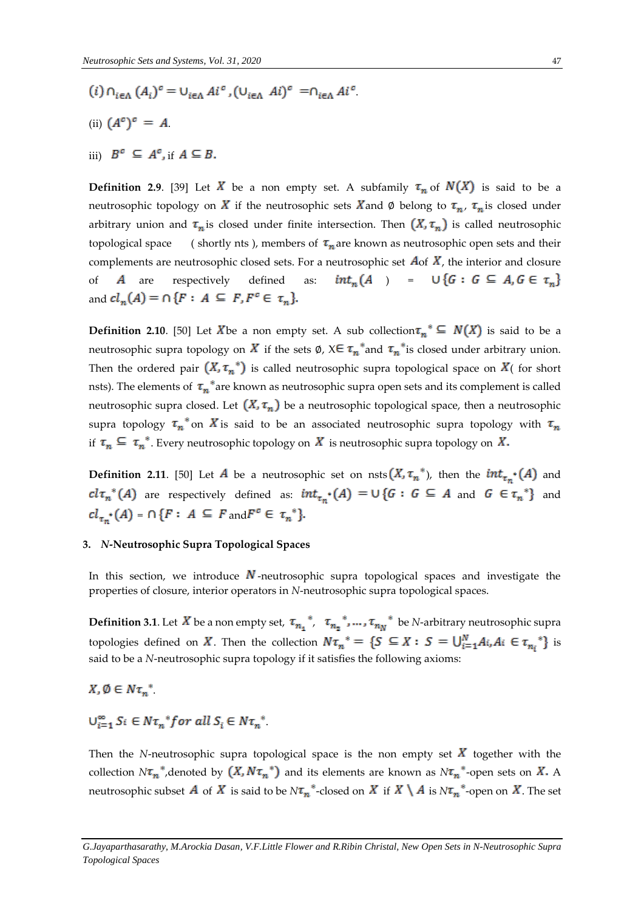- $(i) \cap_{i \in \Lambda} (A_i)^c = \cup_{i \in \Lambda} A i^c, (\cup_{i \in \Lambda} A i)^c = \cap_{i \in \Lambda} A i^c$
- (ii)  $(A^c)^c = A$ .
- iii)  $B^c \subseteq A^c$ , if  $A \subseteq B$ .

**Definition 2.9.** [39] Let X be a non empty set. A subfamily  $\tau_n$  of  $N(X)$  is said to be a neutrosophic topology on X if the neutrosophic sets X and Ø belong to  $\tau_n$ ,  $\tau_n$  is closed under arbitrary union and  $\tau_n$  is closed under finite intersection. Then  $(X, \tau_n)$  is called neutrosophic topological space ( shortly nts ), members of  $\tau_n$  are known as neutrosophic open sets and their complements are neutrosophic closed sets. For a neutrosophic set  $A$ of  $\overline{X}$ , the interior and closure of A are respectively defined as:  $int_n(A) = \bigcup \{G : G \subseteq A, G \in \tau_n\}$ and  $cl_n(A) = \cap \{F : A \subseteq F, F^c \in \tau_n\}.$ 

**Definition 2.10.** [50] Let X<sup>b</sup>e a non empty set. A sub collection  $\tau_n^* \subseteq N(X)$  is said to be a neutrosophic supra topology on X if the sets  $\emptyset$ ,  $X \in \tau_n^*$  and  $\tau_n^*$  is closed under arbitrary union. Then the ordered pair  $(X, \tau_n^*)$  is called neutrosophic supra topological space on  $X$  (for short nsts). The elements of  $\tau_n^*$  are known as neutrosophic supra open sets and its complement is called neutrosophic supra closed. Let  $(X, \tau_n)$  be a neutrosophic topological space, then a neutrosophic supra topology  $\tau_n^*$  on X is said to be an associated neutrosophic supra topology with  $\tau_n$ if  $\tau_n \subseteq \tau_n^*$ . Every neutrosophic topology on X is neutrosophic supra topology on X.

**Definition 2.11.** [50] Let A be a neutrosophic set on nsts  $(X, \tau_n^*)$ , then the  $int_{\tau_n^*}(A)$  and  $cl\tau_n^*(A)$  are respectively defined as:  $int_{\tau_n^*}(A) = \bigcup \{G : G \subseteq A \text{ and } G \in \tau_n^*\}$  and  $cl_{\tau_n} (A) = \bigcap \{ F : A \subseteq F \text{ and } F^c \in \tau_n^* \}.$ 

## **3.** *N***-Neutrosophic Supra Topological Spaces**

In this section, we introduce  $\vec{N}$ -neutrosophic supra topological spaces and investigate the properties of closure, interior operators in *N*-neutrosophic supra topological spaces.

**Definition 3.1**. Let X be a non empty set,  $\tau_{n_1}^*$ ,  $\tau_{n_2}^*$ , ...,  $\tau_{n_N}^*$  be *N*-arbitrary neutrosophic supra topologies defined on X. Then the collection  $N\tau_n^* = \{S \subseteq X : S = \bigcup_{i=1}^N A_i, A_i \in \tau_{n_i}^*\}$  is said to be a *N*-neutrosophic supra topology if it satisfies the following axioms:

 $X, \emptyset \in N\tau_n^*$ 

$$
\bigcup_{i=1}^{\infty} S_i \in N\tau_n^* for all S_i \in N\tau_n^*
$$

Then the *N*-neutrosophic supra topological space is the non empty set  $X$  together with the collection  $N\tau_n^*$ , denoted by  $(X, N\tau_n^*)$  and its elements are known as  $N\tau_n^*$ -open sets on X. A neutrosophic subset A of X is said to be  $N\tau_n^*$ -closed on X if  $X \setminus A$  is  $N\tau_n^*$ -open on X. The set

*G.Jayaparthasarathy, M.Arockia Dasan, V.F.Little Flower and R.Ribin Christal, New Open Sets in N-Neutrosophic Supra Topological Spaces*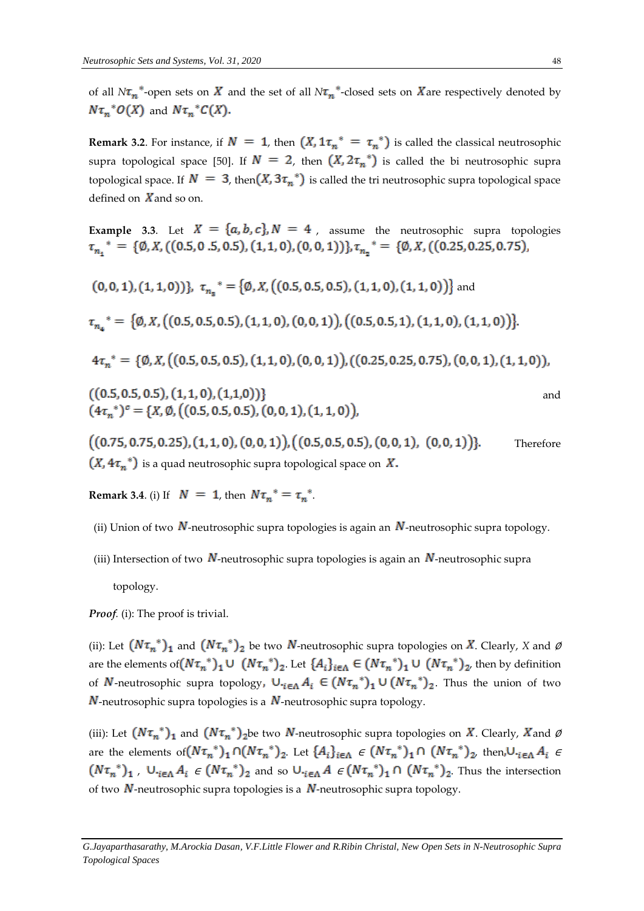of all  $N\tau_n^*$ -open sets on  $X$  and the set of all  $N\tau_n^*$ -closed sets on  $X$  are respectively denoted by  $N\tau_n^*O(X)$  and  $N\tau_n^*C(X)$ .

**Remark 3.2.** For instance, if  $N = 1$ , then  $(X, 1\tau_n^* = \tau_n^*)$  is called the classical neutrosophic supra topological space [50]. If  $N = 2$ , then  $(X, 2\tau_n^*)$  is called the bi neutrosophic supra topological space. If  $N = 3$ , then  $(X, 3\tau_n^*)$  is called the tri neutrosophic supra topological space defined on  $X$  and so on.

**Example 3.3.** Let  $X = \{a, b, c\}$ ,  $N = 4$ , assume the neutrosophic supra topologies  $\tau_{n_1}^* = \{ \emptyset, X, ((0.5, 0.5, 0.5), (1, 1, 0), (0, 0, 1)) \}, \tau_{n_2}^* = \{ \emptyset, X, ((0.25, 0.25, 0.75),$ 

$$
(0,0,1), (1,1,0)) \}, \tau_{n_3}^* = \{ \emptyset, X, ((0.5, 0.5, 0.5), (1,1,0), (1,1,0)) \} \text{ and}
$$
  
\n
$$
\tau_{n_4}^* = \{ \emptyset, X, ((0.5, 0.5, 0.5), (1,1,0), (0,0,1)), ((0.5, 0.5, 1), (1,1,0), (1,1,0)) \}.
$$
  
\n
$$
4\tau_n^* = \{ \emptyset, X, ((0.5, 0.5, 0.5), (1,1,0), (0,0,1)), ((0.25, 0.25, 0.75), (0,0,1), (1,1,0)) \},
$$
  
\n
$$
((0.5, 0.5, 0.5), (1,1,0), (1,1,0)) \}
$$
 and  
\n
$$
(4\tau_n^*)^c = \{ X, \emptyset, ((0.5, 0.5, 0.5), (0,0,1), (1,1,0)) \},
$$
  
\n
$$
((0.75, 0.75, 0.25), (1,1,0), (0,0,1)), ((0.5, 0.5, 0.5), (0,0,1), (0,0,1)) \}.
$$
 Therefore

 $(X, 4\tau_n^*)$  is a quad neutrosophic supra topological space on X.

**Remark 3.4.** (i) If  $N = 1$ , then  $N\tau_n^* = \tau_n^*$ .

- (ii) Union of two  $N$ -neutrosophic supra topologies is again an  $N$ -neutrosophic supra topology.
- (iii) Intersection of two N-neutrosophic supra topologies is again an N-neutrosophic supra topology.

*Proof.* (i): The proof is trivial.

(ii): Let  $(N\tau_n^*)_1$  and  $(N\tau_n^*)_2$  be two  $N$ -neutrosophic supra topologies on  $X$ . Clearly,  $X$  and Ø are the elements of  $(N\tau_n^*)_1 \cup (N\tau_n^*)_2$ . Let  $\{A_i\}_{i\in\Lambda} \in (N\tau_n^*)_1 \cup (N\tau_n^*)_2$ , then by definition of N-neutrosophic supra topology,  $\cup_{i\in\Lambda}A_i \in (N\tau_n^*)_1 \cup (N\tau_n^*)_2$ . Thus the union of two  $N$ -neutrosophic supra topologies is a  $N$ -neutrosophic supra topology.

(iii): Let  $(N\tau_n^*)_1$  and  $(N\tau_n^*)_2$ be two N-neutrosophic supra topologies on X. Clearly, X and Ø are the elements of  $(N\tau_n^*)_1 \cap (N\tau_n^*)_2$ . Let  $\{A_i\}_{i\in \Lambda} \in (N\tau_n^*)_1 \cap (N\tau_n^*)_2$ , then,  $\cup_{i\in \Lambda} A_i \in$  $(N\tau_n^*)_1$ ,  $\cup_{i\in\Lambda} A_i \in (N\tau_n^*)_2$  and so  $\cup_{i\in\Lambda} A \in (N\tau_n^*)_1 \cap (N\tau_n^*)_2$ . Thus the intersection of two  $N$ -neutrosophic supra topologies is a  $N$ -neutrosophic supra topology.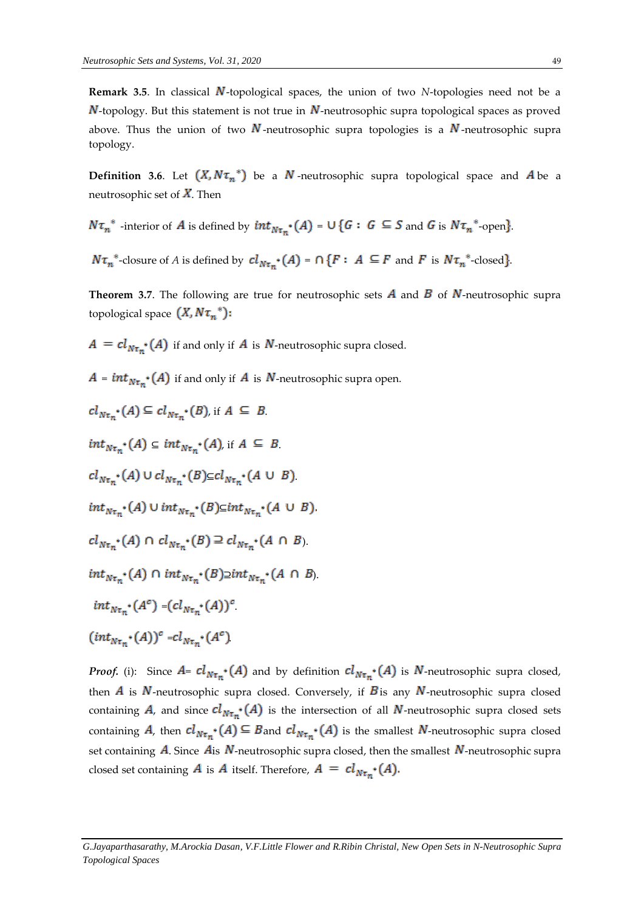**Remark 3.5**. In classical N-topological spaces, the union of two *N*-topologies need not be a  $N$ -topology. But this statement is not true in  $N$ -neutrosophic supra topological spaces as proved above. Thus the union of two N-neutrosophic supra topologies is a N-neutrosophic supra topology.

**Definition 3.6**. Let  $(X, N\tau_n^*)$  be a  $N$ -neutrosophic supra topological space and  $A$  be a neutrosophic set of  $\overline{X}$ . Then

$$
N\tau_n^*
$$
 -interior of *A* is defined by  $int_{N\tau_n^*}(A) = \bigcup \{G : G \subseteq S \text{ and } G \text{ is } N\tau_n^*$ -open.

 $N\tau_n^*$ -closure of *A* is defined by  $cl_{N\tau_n^*}(A) = \bigcap \{F : A \subseteq F \text{ and } F \text{ is } N\tau_n^*$ -closed.

**Theorem 3.7.** The following are true for neutrosophic sets  $\vec{A}$  and  $\vec{B}$  of  $\vec{N}$ -neutrosophic supra topological space  $(X, N\tau_n^*)$ :

 $A = cl_{N\tau_{m^*}}(A)$  if and only if A is N-neutrosophic supra closed.

 $A = int_{N\tau_m} (A)$  if and only if A is N-neutrosophic supra open.

 $cl_{N\tau_{m}}(A) \subseteq cl_{N\tau_{m}}(B)$ , if  $A \subseteq B$ .  $int_{N\tau_{n}} (A) \subseteq int_{N\tau_{n}} (A)$ , if  $A \subseteq B$ .  $cl_{N\tau_n}$  (A)  $\cup$   $cl_{N\tau_n}$  (B) $\subseteq$  $cl_{N\tau_n}$  (A  $\cup$  B)  $int_{N\tau_n} (A) \cup int_{N\tau_n} (B) \subseteq int_{N\tau_n} (A \cup B)$ .  $cl_{N\tau_{n}}(A) \cap cl_{N\tau_{n}}(B) \supseteq cl_{N\tau_{n}}(A \cap B)$ .  $int_{N\tau_{n}} (A) \cap int_{N\tau_{n}} (B) \supseteq int_{N\tau_{n}} (A \cap B).$  $int_{N\tau_n} (A^c) - (cl_{N\tau_n} (A))^c$  $(int_{N\tau_{n}}(A))^{c} = cl_{N\tau_{n}}(A^{c})$ 

*Proof.* (i): Since  $A = cl_{N\tau_n} (A)$  and by definition  $cl_{N\tau_n} (A)$  is N-neutrosophic supra closed, then  $\vec{A}$  is  $\vec{N}$ -neutrosophic supra closed. Conversely, if  $\vec{B}$  is any  $\vec{N}$ -neutrosophic supra closed containing A, and since  $cl_{N\tau_n^*}(A)$  is the intersection of all N-neutrosophic supra closed sets containing A, then  $cl_{N\tau_n} (A) \subseteq B$  and  $cl_{N\tau_n} (A)$  is the smallest N-neutrosophic supra closed set containing  $\vec{A}$ . Since  $\vec{A}$  is  $N$ -neutrosophic supra closed, then the smallest  $N$ -neutrosophic supra closed set containing **A** is **A** itself. Therefore,  $A = cl_{N\tau_n} (A)$ .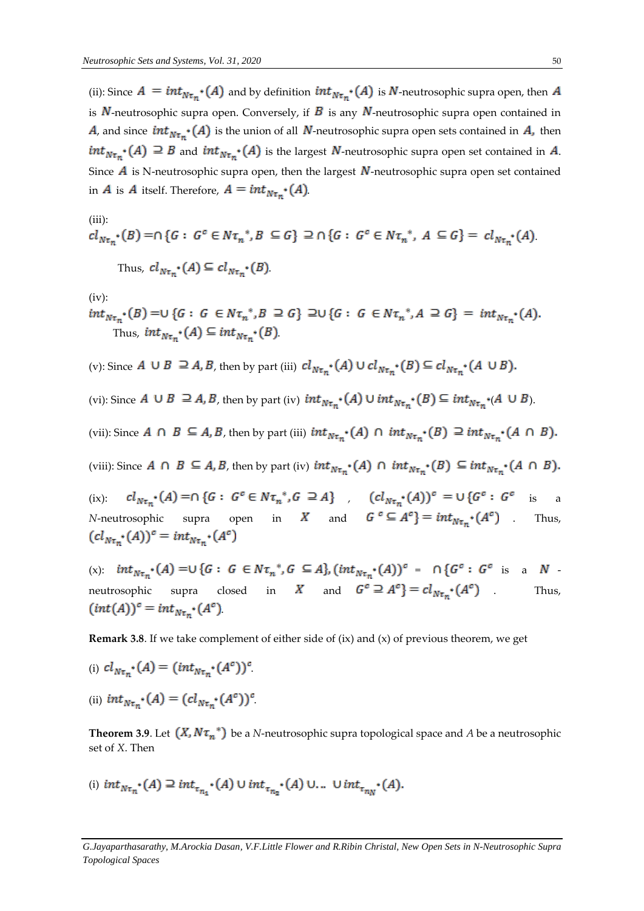(ii): Since  $A = int_{N\tau_n} (A)$  and by definition  $int_{N\tau_n} (A)$  is N-neutrosophic supra open, then A is  $N$ -neutrosophic supra open. Conversely, if  $B$  is any  $N$ -neutrosophic supra open contained in A, and since  $int_{N\tau_m} (A)$  is the union of all N-neutrosophic supra open sets contained in A, then  $int_{N\tau_n} (A) \supseteq B$  and  $int_{N\tau_n} (A)$  is the largest N-neutrosophic supra open set contained in A. Since  $\vec{A}$  is N-neutrosophic supra open, then the largest  $N$ -neutrosophic supra open set contained in A is A itself. Therefore,  $A = int_{N\tau_n} (A)$ .

(iii):  
\n
$$
cl_{N\tau_n^*}(B) = \cap \{G : G^c \in N\tau_n^*, B \subseteq G\} \supseteq \cap \{G : G^c \in N\tau_n^*, A \subseteq G\} = cl_{N\tau_n^*}(A).
$$
\nThus,  $cl_{N\tau_n^*}(A) \subseteq cl_{N\tau_n^*}(B).$ 

(iv):

$$
int_{N\tau_n} (B) = \bigcup \{ G : G \in N\tau_n^*, B \supseteq G \} \supseteq \bigcup \{ G : G \in N\tau_n^*, A \supseteq G \} = int_{N\tau_n} (A).
$$
  
Thus,  $int_{N\tau_n} (A) \subseteq int_{N\tau_n} (B)$ .

(v): Since  $A \cup B \supseteq A$ ,  $B$ , then by part (iii)  $cl_{N\tau_n}$  (A)  $\cup cl_{N\tau_n}$  (B)  $\subseteq cl_{N\tau_n}$  (A  $\cup B$ ).

(vi): Since  $A \cup B \supseteq A$ ,  $B$ , then by part (iv)  $int_{N\tau_{m}} (A) \cup int_{N\tau_{m}} (B) \subseteq int_{N\tau_{m}} (A \cup B)$ .

(vii): Since  $A \cap B \subseteq A$ ,  $B$ , then by part (iii)  $int_{N\tau_n} (A) \cap int_{N\tau_n} (B) \supseteq int_{N\tau_n} (A \cap B)$ .

(viii): Since  $A \cap B \subseteq A, B$ , then by part (iv)  $int_{N\tau_n} (A) \cap int_{N\tau_n} (B) \subseteq int_{N\tau_n} (A \cap B)$ .

(ix):  $cl_{N\tau_{n}}(A) = \cap \{G : G^{c} \in N\tau_{n}^{*}, G \supseteq A\}$ ,  $(cl_{N\tau_{n}}(A))^{c} = \cup \{G^{c} : G^{c}$  is a *N*-neutrosophic supra open in *X* and  $G^c \subseteq A^c$  =  $int_{N\tau_m} (A^c)$  . Thus,  $(cl_{N\tau_n} \cdot (A))^c = int_{N\tau_n} \cdot (A^c)$ 

(x):  $int_{N\tau_n} (A) = \cup \{G : G \in N\tau_n^*, G \subseteq A\}$ ,  $(int_{N\tau_n} (A))^c = \bigcap \{G^c : G^c \text{ is a } N$ neutrosophic supra closed in X and  $G^c \supseteq A^c$  =  $cl_{N\tau_{m}}(A^c)$  . Thus,  $(int(A))^c = int_{N\tau_m} (A^c)$ 

**Remark 3.8**. If we take complement of either side of (ix) and (x) of previous theorem, we get

- (i)  $cl_{N\tau_{m}}(A) = (int_{N\tau_{m}}(A^{c}))^{c}$ .
- (ii)  $int_{N\tau_{m}} (A) = (cl_{N\tau_{m}} (A^{c}))^{c}$

**Theorem 3.9**. Let  $(X, N\tau_n^*)$  be a *N*-neutrosophic supra topological space and *A* be a neutrosophic set of *X*. Then

(i) 
$$
int_{N\tau_{n}} (A) \supseteq int_{\tau_{n_{1}}} (A) \cup int_{\tau_{n_{2}}} (A) \cup ... \cup int_{\tau_{n_{N}}} (A).
$$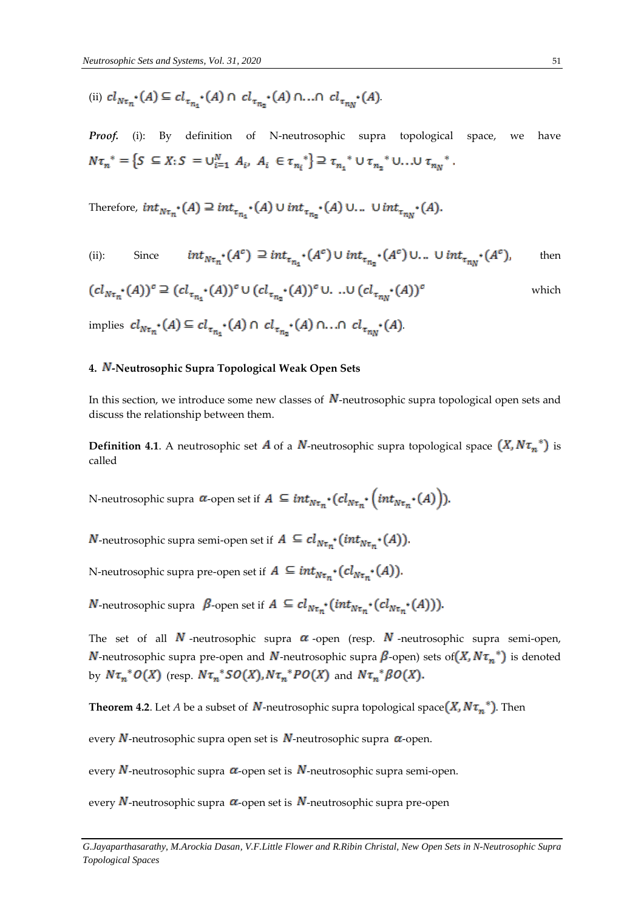(ii) 
$$
cl_{N\tau_n} \cdot (A) \subseteq cl_{\tau_{n_1}} \cdot (A) \cap cl_{\tau_{n_2}} \cdot (A) \cap ... \cap cl_{\tau_{n_N}} \cdot (A)
$$

Proof. (i): By definition of N-neutrosophic supra topological space, we have  $N\tau_n^* = \left\{S \subseteq X : S = \bigcup_{i=1}^N A_i, A_i \in \tau_{n_i}^*\right\} \supseteq \tau_{n_1}^* \cup \tau_{n_2}^* \cup \ldots \cup \tau_{n_N}^*.$ 

Therefore,  $int_{N\tau_n} (A) \supseteq int_{\tau_{n_1}} (A) \cup int_{\tau_{n_2}} (A) \cup ... \cup int_{\tau_{n_N}} (A)$ .

(ii): Since 
$$
int_{N\tau_n} (A^c) \supseteq int_{\tau_{n_1}} (A^c) \cup int_{\tau_{n_2}} (A^c) \cup ... \cup int_{\tau_{n_N}} (A^c)
$$
, then

$$
(cl_{N\tau_n} \cdot (A))^c \supseteq (cl_{\tau_{n_1}} \cdot (A))^c \cup (cl_{\tau_{n_2}} \cdot (A))^c \cup \dots \cup (cl_{\tau_{n_N}} \cdot (A))^c
$$
 which

implies  $cl_{N\tau_n} \cdot (A) \subseteq cl_{\tau_{n_1}} \cdot (A) \cap cl_{\tau_{n_2}} \cdot (A) \cap ... \cap cl_{\tau_{n_N}} \cdot (A)$ 

## 4. N-Neutrosophic Supra Topological Weak Open Sets

In this section, we introduce some new classes of  $N$ -neutrosophic supra topological open sets and discuss the relationship between them.

**Definition 4.1**. A neutrosophic set **A** of a **N**-neutrosophic supra topological space  $(X, N\tau_n^*)$  is called

N-neutrosophic supra  $\alpha$ -open set if  $A \subseteq int_{N\tau_m} \cdot (cl_{N\tau_m} \cdot (int_{N\tau_m} \cdot (A))).$ 

*N*-neutrosophic supra semi-open set if  $A \subseteq cl_{N\tau_{n^*}}(int_{N\tau_{n^*}}(A)).$ 

N-neutrosophic supra pre-open set if  $A \subseteq int_{N\tau_n} \cdot (cl_{N\tau_n} \cdot (A)).$ 

**N**-neutrosophic supra  $\beta$ -open set if  $A \subseteq cl_{N\tau_n}^{\bullet} (int_{N\tau_n} (cl_{N\tau_n}^{\bullet} (A))).$ 

The set of all  $N$ -neutrosophic supra  $\alpha$ -open (resp.  $N$ -neutrosophic supra semi-open, **N**-neutrosophic supra pre-open and **N**-neutrosophic supra  $\beta$ -open) sets of  $(X, N\tau_n^*)$  is denoted by  $N\tau_n^*O(X)$  (resp.  $N\tau_n^*SO(X), N\tau_n^*PO(X)$  and  $N\tau_n^*BO(X)$ .

**Theorem 4.2.** Let *A* be a subset of  $N$ -neutrosophic supra topological space  $(X, N\tau_n^*)$ . Then

every  $N$ -neutrosophic supra open set is  $N$ -neutrosophic supra  $\alpha$ -open.

every  $N$ -neutrosophic supra  $\alpha$ -open set is  $N$ -neutrosophic supra semi-open.

every N-neutrosophic supra  $\alpha$ -open set is N-neutrosophic supra pre-open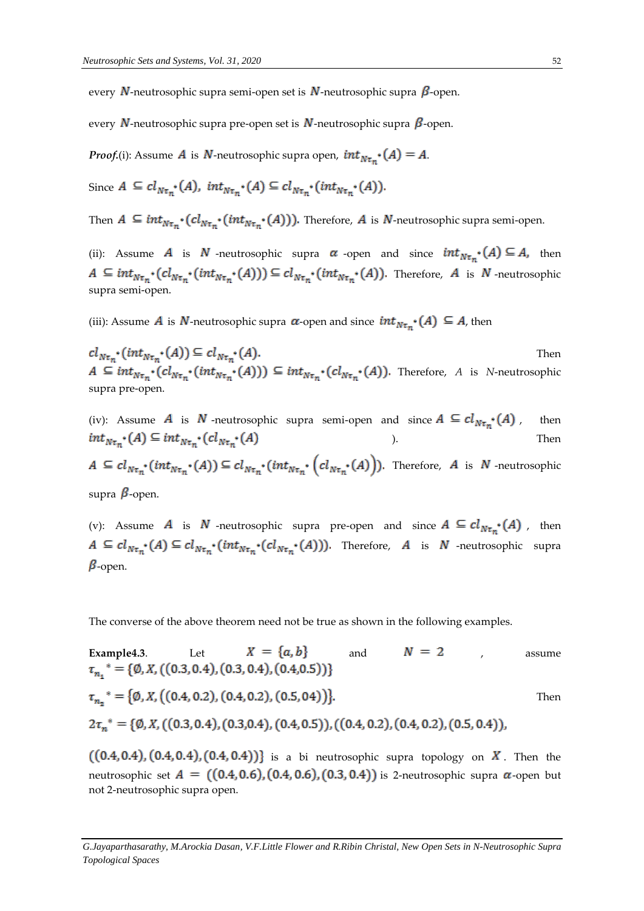every N-neutrosophic supra semi-open set is N-neutrosophic supra  $\beta$ -open.

every N-neutrosophic supra pre-open set is N-neutrosophic supra  $\beta$ -open.

*Proof.*(i): Assume *A* is *N*-neutrosophic supra open,  $int_{N\tau_m} (A) = A$ .

Since  $A \subseteq cl_{N\tau_n}$  (A),  $int_{N\tau_n} (A) \subseteq cl_{N\tau_n} (int_{N\tau_n} (A)).$ 

Then  $A \subseteq int_{N\tau_m} \cdot (cl_{N\tau_m} \cdot (int_{N\tau_m} \cdot (A)))$ . Therefore, A is N-neutrosophic supra semi-open.

(ii): Assume A is N -neutrosophic supra  $\alpha$  -open and since  $int_{N\tau_{m}} (A) \subseteq A$ , then  $A \subseteq int_{N\tau_n} \cdot (cl_{N\tau_n} \cdot (int_{N\tau_n} \cdot (At_{N\tau_n} \cdot (int_{N\tau_n} \cdot (At_{N\tau_n} \cdot (A)))$ . Therefore, A is N-neutrosophic supra semi-open.

(iii): Assume A is N-neutrosophic supra  $\alpha$ -open and since  $int_{N\tau_{m}} (A) \subseteq A$ , then

 $cl_{N\tau_n} \cdot (int_{N\tau_n} \cdot (A)) \subseteq cl_{N\tau_n} \cdot (A).$ Then  $A \subseteq int_{N\tau_n} \cdot (cl_{N\tau_n} \cdot (int_{N\tau_n} \cdot (A))) \subseteq int_{N\tau_n} \cdot (cl_{N\tau_n} \cdot (A))$ . Therefore, A is N-neutrosophic supra pre-open.

(iv): Assume A is N -neutrosophic supra semi-open and since  $A \subseteq cl_{N\tau_{m}}(A)$ , then  $int_{N\tau_n} (A) \subseteq int_{N\tau_n} (cl_{N\tau_n} (A))$ ). Then  $A \subseteq cl_{N\tau_n} \cdot (int_{N\tau_n} \cdot (A)) \subseteq cl_{N\tau_n} \cdot (int_{N\tau_n} \cdot (cl_{N\tau_n} \cdot (A)))$ . Therefore, A is N -neutrosophic supra  $\beta$ -open.

(v): Assume A is N -neutrosophic supra pre-open and since  $A \subseteq cl_{N\tau_{m}}(A)$ , then  $A \subseteq cl_{N\tau_n}^*(A) \subseteq cl_{N\tau_n}^*(int_{N\tau_n}^*(cl_{N\tau_n}^*(A)))$ . Therefore, A is N -neutrosophic supra  $\beta$ -open.

The converse of the above theorem need not be true as shown in the following examples.

Example4.3. Let 
$$
X = \{a, b\}
$$
 and  $N = 2$ , assume  
\n $\tau_{n_1}^* = \{\emptyset, X, ((0.3, 0.4), (0.3, 0.4), (0.4, 0.5))\}$   
\n $\tau_{n_2}^* = \{\emptyset, X, ((0.4, 0.2), (0.4, 0.2), (0.5, 04))\}$ . Then  
\n $2\tau_n^* = \{\emptyset, X, ((0.3, 0.4), (0.3, 0.4), (0.4, 0.5)), ((0.4, 0.2), (0.4, 0.2), (0.5, 0.4))\}$ .

 $((0.4, 0.4), (0.4, 0.4), (0.4, 0.4))]$  is a bi neutrosophic supra topology on  $X$ . Then the neutrosophic set  $A = ((0.4, 0.6), (0.4, 0.6), (0.3, 0.4))$  is 2-neutrosophic supra  $\alpha$ -open but not 2-neutrosophic supra open.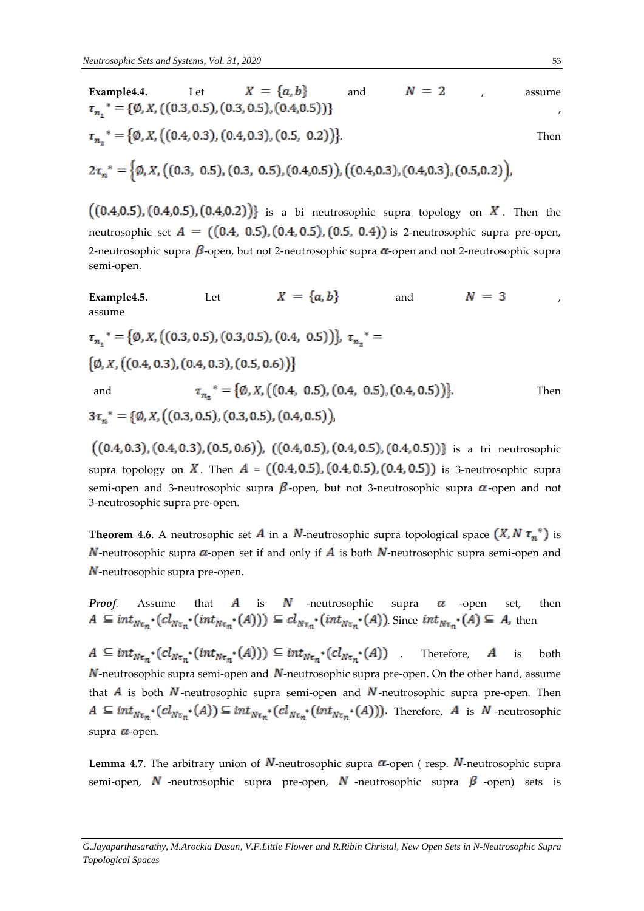Example4.4. Let 
$$
X = \{a, b\}
$$
 and  $N = 2$ , assume  
\n $\tau_{n_1}^* = \{\emptyset, X, ((0.3, 0.5), (0.3, 0.5), (0.4, 0.5))\}$   
\n $\tau_{n_2}^* = \{\emptyset, X, ((0.4, 0.3), (0.4, 0.3), (0.5, 0.2))\}$ . Then  
\n $2\tau_n^* = \{\emptyset, X, ((0.3, 0.5), (0.3, 0.5), (0.4, 0.5), ((0.4, 0.3), (0.4, 0.3), (0.5, 0.2))\}$ .

 $((0.4, 0.5), (0.4, 0.5), (0.4, 0.2))]$  is a bi neutrosophic supra topology on  $X$ . Then the neutrosophic set  $A = ((0.4, 0.5), (0.4, 0.5), (0.5, 0.4))$  is 2-neutrosophic supra pre-open, 2-neutrosophic supra  $\beta$ -open, but not 2-neutrosophic supra  $\alpha$ -open and not 2-neutrosophic supra semi-open.

Example4.5. Let 
$$
X = \{a, b\}
$$
 and  $N = 3$ ,  
assume  
 $\tau_{n_1}^* = \{\emptyset, X, ((0.3, 0.5), (0.3, 0.5), (0.4, 0.5))\}, \tau_{n_2}^* = \{\emptyset, X, ((0.4, 0.3), (0.4, 0.3), (0.5, 0.6))\}$   
and  $\tau_{n_3}^* = \{\emptyset, X, ((0.4, 0.5), (0.4, 0.5), (0.4, 0.5), (0.4, 0.5))\}$ . Then  
 $3\tau_n^* = \{\emptyset, X, ((0.3, 0.5), (0.3, 0.5), (0.4, 0.5))\}$ .

 $((0.4, 0.3), (0.4, 0.3), (0.5, 0.6)), ((0.4, 0.5), (0.4, 0.5), (0.4, 0.5))$  is a tri neutrosophic supra topology on X. Then  $A = ((0.4, 0.5), (0.4, 0.5), (0.4, 0.5))$  is 3-neutrosophic supra semi-open and 3-neutrosophic supra  $\beta$ -open, but not 3-neutrosophic supra  $\alpha$ -open and not 3-neutrosophic supra pre-open.

**Theorem 4.6**. A neutrosophic set **A** in a **N**-neutrosophic supra topological space  $(X, N \tau_n^*)$  is **N**-neutrosophic supra  $\alpha$ -open set if and only if **A** is both **N**-neutrosophic supra semi-open and  $N$ -neutrosophic supra pre-open.

*Proof.* Assume that 
$$
A
$$
 is  $N$  -neutrosophic  $\sup a$  -open set, then  $A \subseteq int_{N\tau_n} \cdot (cl_{N\tau_n} \cdot (int_{N\tau_n} \cdot (At_{N\tau_n} \cdot (A))) \subseteq cl_{N\tau_n} \cdot (int_{N\tau_n} \cdot (At_{N\tau_n} \cdot (A)).$  Since  $int_{N\tau_n} \cdot (A) \subseteq A$ , then

 $A \subseteq int_{N\tau_n} \cdot (cl_{N\tau_n} \cdot (int_{N\tau_n} \cdot (A))) \subseteq int_{N\tau_n} \cdot (cl_{N\tau_n} \cdot (A))$  Therefore, A is both  $N$ -neutrosophic supra semi-open and  $N$ -neutrosophic supra pre-open. On the other hand, assume that  $\vec{A}$  is both  $\vec{N}$ -neutrosophic supra semi-open and  $\vec{N}$ -neutrosophic supra pre-open. Then  $A \subseteq int_{N\tau_n} \cdot (cl_{N\tau_n} \cdot (A)) \subseteq int_{N\tau_n} \cdot (cl_{N\tau_n} \cdot (int_{N\tau_n} \cdot (A)))$ . Therefore, A is N-neutrosophic supra  $\alpha$ -open.

**Lemma 4.7**. The arbitrary union of  $N$ -neutrosophic supra  $\alpha$ -open ( resp.  $N$ -neutrosophic supra semi-open,  $N$  -neutrosophic supra pre-open,  $N$  -neutrosophic supra  $\beta$  -open) sets is

*G.Jayaparthasarathy, M.Arockia Dasan, V.F.Little Flower and R.Ribin Christal, New Open Sets in N-Neutrosophic Supra Topological Spaces*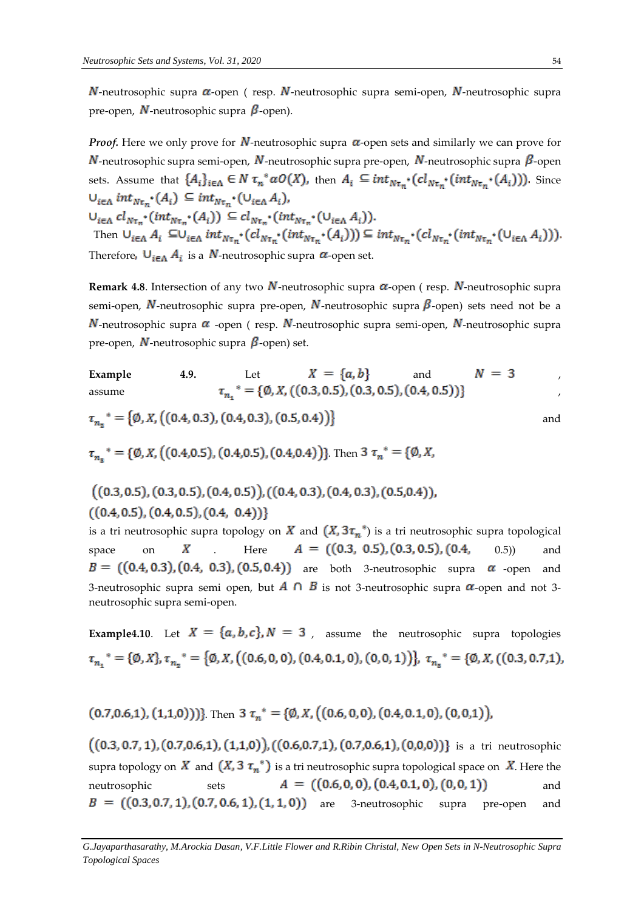$N$ -neutrosophic supra  $\alpha$ -open ( resp.  $N$ -neutrosophic supra semi-open,  $N$ -neutrosophic supra pre-open,  $N$ -neutrosophic supra  $\beta$ -open).

*Proof.* Here we only prove for  $N$ -neutrosophic supra  $\alpha$ -open sets and similarly we can prove for  $N$ -neutrosophic supra semi-open,  $N$ -neutrosophic supra pre-open,  $N$ -neutrosophic supra  $\beta$ -open sets. Assume that  $\{A_i\}_{i\in \Lambda} \in N \tau_n^* \alpha O(X)$ , then  $A_i \subseteq int_{N\tau_n^*}(cl_{N\tau_n^*}(int_{N\tau_n^*}(A_i)))$ . Since  $\bigcup_{i\in\Lambda} int_{N\tau_n} \cdot (A_i) \subseteq int_{N\tau_n} \cdot (\bigcup_{i\in\Lambda} A_i),$  $\cup_{i\in\Lambda} cl_{N\tau_n} \cdot (int_{N\tau_n} \cdot (A_i)) \subseteq cl_{N\tau_n} \cdot (int_{N\tau_n} \cdot ( \cup_{i\in\Lambda} A_i)).$ Then  $\cup_{i\in\Lambda} A_i \subseteq \cup_{i\in\Lambda} int_{N\tau_n^*}(cl_{N\tau_n^*}(int_{N\tau_n^*}(A_i))) \subseteq int_{N\tau_n^*}(cl_{N\tau_n^*}(int_{N\tau_n^*}(U_{i\in\Lambda} A_i))).$ Therefore,  $U_{i \in \Lambda} A_i$  is a *N*-neutrosophic supra  $\alpha$ -open set.

**Remark 4.8**. Intersection of any two  $N$ -neutrosophic supra  $\alpha$ -open ( resp.  $N$ -neutrosophic supra semi-open, N-neutrosophic supra pre-open, N-neutrosophic supra  $\beta$ -open) sets need not be a **N**-neutrosophic supra  $\alpha$  -open ( resp. **N**-neutrosophic supra semi-open, **N**-neutrosophic supra pre-open,  $N$ -neutrosophic supra  $\beta$ -open) set.

Example 4.9. Let 
$$
X = \{a, b\}
$$
 and  $N = 3$   
\nassume  $\tau_{n_1}^* = \{\emptyset, X, ((0.3, 0.5), (0.3, 0.5), (0.4, 0.5))\}$ 

$$
((0.3, 0.5), (0.3, 0.5), (0.4, 0.5)), ((0.4, 0.3), (0.4, 0.3), (0.5, 0.4)),
$$
  
 $((0.4, 0.5), (0.4, 0.5), (0.4, 0.4))$ 

is a tri neutrosophic supra topology on  $X$  and  $(X, 3\tau_n^*)$  is a tri neutrosophic supra topological space on X Here  $A = ((0.3, 0.5), (0.3, 0.5), (0.4, 0.5))$  and  $B = ((0.4, 0.3), (0.4, 0.3), (0.5, 0.4))$  are both 3-neutrosophic supra  $\alpha$  -open and 3-neutrosophic supra semi open, but  $\overline{A} \cap \overline{B}$  is not 3-neutrosophic supra  $\alpha$ -open and not 3neutrosophic supra semi-open.

**Example4.10**. Let  $X = \{a, b, c\}$ ,  $N = 3$ , assume the neutrosophic supra topologies  $\tau_{n_1}$ <sup>\*</sup> = { $\emptyset$ , X},  $\tau_{n_2}$ <sup>\*</sup> = { $\emptyset$ , X, ((0.6, 0, 0), (0.4, 0.1, 0), (0, 0, 1))},  $\tau_{n_2}$ <sup>\*</sup> = { $\emptyset$ , X, ((0.3, 0.7, 1),

$$
(0.7,0.6,1),(1,1,0))}
$$
. Then  $3 \tau_n^* = \{0,X, ((0.6,0,0), (0.4,0.1,0), (0,0,1)),$ 

 $((0.3, 0.7, 1), (0.7, 0.6, 1), (1, 1, 0)), ((0.6, 0.7, 1), (0.7, 0.6, 1), (0, 0, 0))$  is a tri neutrosophic supra topology on X and  $(X, 3 \tau_n^*)$  is a tri neutrosophic supra topological space on X. Here the neutrosophic sets  $A = ((0.6, 0, 0), (0.4, 0.1, 0), (0, 0, 1))$  and  $B = ((0.3, 0.7, 1), (0.7, 0.6, 1), (1, 1, 0))$  are 3-neutrosophic supra pre-open and

*G.Jayaparthasarathy, M.Arockia Dasan, V.F.Little Flower and R.Ribin Christal, New Open Sets in N-Neutrosophic Supra Topological Spaces*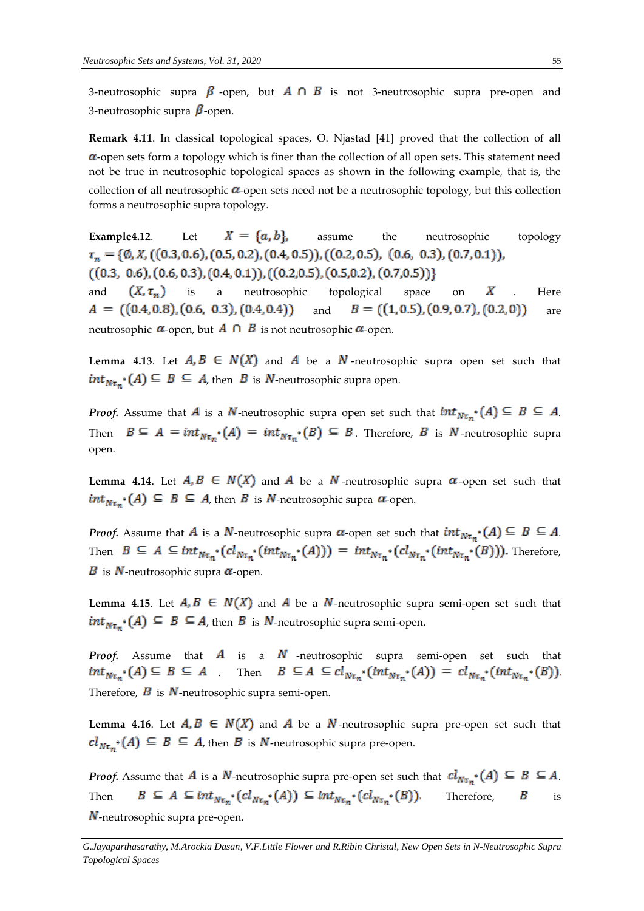3-neutrosophic supra  $\beta$ -open, but  $A \cap B$  is not 3-neutrosophic supra pre-open and 3-neutrosophic supra  $\beta$ -open.

**Remark 4.11**. In classical topological spaces, O. Njastad [41] proved that the collection of all  $\alpha$ -open sets form a topology which is finer than the collection of all open sets. This statement need not be true in neutrosophic topological spaces as shown in the following example, that is, the collection of all neutrosophic  $\alpha$ -open sets need not be a neutrosophic topology, but this collection forms a neutrosophic supra topology.

**Example4.12.** Let  $X = \{a, b\}$ , assume the neutrosophic topology  $\tau_n = \{ \emptyset, X, ((0.3, 0.6), (0.5, 0.2), (0.4, 0.5)), ((0.2, 0.5), (0.6, 0.3), (0.7, 0.1)),$  $((0.3, 0.6), (0.6, 0.3), (0.4, 0.1)), ((0.2, 0.5), (0.5, 0.2), (0.7, 0.5))$ and  $(X, \tau_n)$  is a neutrosophic topological space on X. Here  $A = ((0.4, 0.8), (0.6, 0.3), (0.4, 0.4))$ and  $B = ((1, 0.5), (0.9, 0.7), (0.2, 0))$  are neutrosophic  $\alpha$ -open, but  $\overline{A} \cap \overline{B}$  is not neutrosophic  $\alpha$ -open.

**Lemma 4.13.** Let  $A, B \in N(X)$  and  $A$  be a  $N$ -neutrosophic supra open set such that  $int_{N\tau_m} (A) \subseteq B \subseteq A$ , then B is N-neutrosophic supra open.

*Proof.* Assume that A is a N-neutrosophic supra open set such that  $int_{N\tau_n} (A) \subseteq B \subseteq A$ . Then  $B \subseteq A = int_{N\tau_n^*}(A) = int_{N\tau_n^*}(B) \subseteq B$ . Therefore, B is N-neutrosophic supra open.

**Lemma 4.14.** Let  $A, B \in N(X)$  and  $A$  be a  $N$ -neutrosophic supra  $\alpha$ -open set such that  $int_{N\tau_{m}} (A) \subseteq B \subseteq A$ , then B is N-neutrosophic supra  $\alpha$ -open.

*Proof.* Assume that A is a N-neutrosophic supra  $\alpha$ -open set such that  $int_{N_{\tau}}(A) \subseteq B \subseteq A$ . Then  $B \subseteq A \subseteq int_{N\tau_n^*}(cl_{N\tau_n^*}(int_{N\tau_n^*}(A))) = int_{N\tau_n^*}(cl_{N\tau_n^*}(int_{N\tau_n^*}(B)))$ . Therefore, **B** is N-neutrosophic supra  $\alpha$ -open.

**Lemma 4.15**. Let  $A, B \in N(X)$  and  $A$  be a  $N$ -neutrosophic supra semi-open set such that  $int_{N\tau_{m}} (A) \subseteq B \subseteq A$ , then B is N-neutrosophic supra semi-open.

*Proof.* Assume that  $\vec{A}$  is a  $\vec{N}$  -neutrosophic supra semi-open set such that  $int_{N\tau_n} (A) \subseteq B \subseteq A$  Then  $B \subseteq A \subseteq cl_{N\tau_n} (int_{N\tau_n} (A)) = cl_{N\tau_n} (int_{N\tau_n} (B)).$ Therefore,  $\bf{B}$  is  $\bf{N}$ -neutrosophic supra semi-open.

**Lemma 4.16**. Let  $A, B \in N(X)$  and  $A$  be a  $N$ -neutrosophic supra pre-open set such that  $cl_{N\tau_{m}}(A) \subseteq B \subseteq A$ , then B is N-neutrosophic supra pre-open.

*Proof.* Assume that A is a N-neutrosophic supra pre-open set such that  $\text{cl}_{N\tau_n}^{\bullet}(A) \subseteq B \subseteq A$ . Then  $B \subseteq A \subseteq int_{N\tau_n} (cl_{N\tau_n} (A)) \subseteq int_{N\tau_n} (cl_{N\tau_n} (B))$  Therefore, B is  $N$ -neutrosophic supra pre-open.

*G.Jayaparthasarathy, M.Arockia Dasan, V.F.Little Flower and R.Ribin Christal, New Open Sets in N-Neutrosophic Supra Topological Spaces*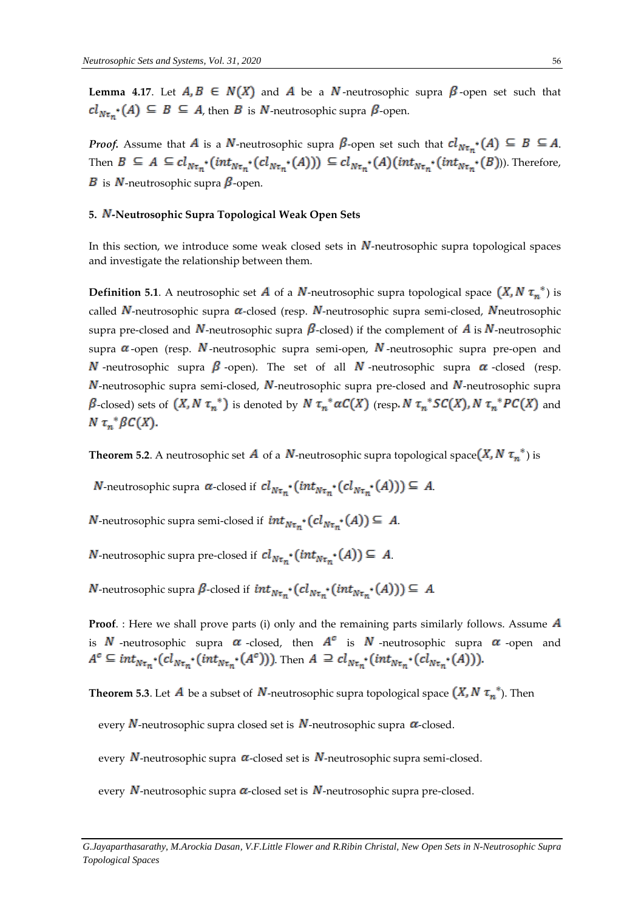**Lemma 4.17.** Let  $A, B \in N(X)$  and  $A$  be a  $N$ -neutrosophic supra  $\beta$ -open set such that  $cl_{N\tau_{m^*}}(A) \subseteq B \subseteq A$ , then B is N-neutrosophic supra  $\beta$ -open.

*Proof.* Assume that A is a N-neutrosophic supra  $\beta$ -open set such that  $cl_{N\tau_n} (A) \subseteq B \subseteq A$ . Then  $B \subseteq A \subseteq cl_{N\tau_n^*}(int_{N\tau_n^*}(cl_{N\tau_n^*}(A))) \subseteq cl_{N\tau_n^*}(A)(int_{N\tau_n^*}(int_{N\tau_n^*}(B)))$ . Therefore, **B** is **N**-neutrosophic supra  $\beta$ -open.

## 5. N-Neutrosophic Supra Topological Weak Open Sets

In this section, we introduce some weak closed sets in  $N$ -neutrosophic supra topological spaces and investigate the relationship between them.

**Definition 5.1**. A neutrosophic set **A** of a **N**-neutrosophic supra topological space  $(X, N \tau_n^*)$  is called  $N$ -neutrosophic supra  $\alpha$ -closed (resp.  $N$ -neutrosophic supra semi-closed,  $N$ neutrosophic supra pre-closed and N-neutrosophic supra  $\beta$ -closed) if the complement of A is N-neutrosophic supra  $\alpha$ -open (resp. N-neutrosophic supra semi-open, N-neutrosophic supra pre-open and **N**-neutrosophic supra  $\beta$ -open). The set of all **N**-neutrosophic supra  $\alpha$ -closed (resp.  $N$ -neutrosophic supra semi-closed,  $N$ -neutrosophic supra pre-closed and  $N$ -neutrosophic supra  $\beta$ -closed) sets of  $(X, N \tau_n^*)$  is denoted by  $N \tau_n^* \alpha C(X)$  (resp.  $N \tau_n^* SC(X)$ ,  $N \tau_n^* PC(X)$  and  $N \tau_n^* \beta C(X)$ .

**Theorem 5.2.** A neutrosophic set **A** of a **N**-neutrosophic supra topological space  $(X, N \tau_n^*)$  is

*N*-neutrosophic supra  $\alpha$ -closed if  $cl_{N\tau_m}$  ( $int_{N\tau_m}$  ( $cl_{N\tau_m}$  ( $cl_{N\tau_m}$  (A)))  $\subseteq$  A.

**N**-neutrosophic supra semi-closed if  $int_{N\tau_{m}} (cl_{N\tau_{m}} (A)) \subseteq A$ .

**N**-neutrosophic supra pre-closed if  $cl_{N\tau_n} \cdot (int_{N\tau_n} (A)) \subseteq A$ .

*N*-neutrosophic supra  $\beta$ -closed if  $int_{N\tau_n} (cl_{N\tau_n} (int_{N\tau_n} (A))) \subseteq A$ 

**Proof.** : Here we shall prove parts (i) only and the remaining parts similarly follows. Assume **A** is  $N$  -neutrosophic supra  $\alpha$  -closed, then  $A^c$  is  $N$  -neutrosophic supra  $\alpha$  -open and  $A^c \subseteq int_{N\tau_n} \cdot (cl_{N\tau_n} \cdot (int_{N\tau_n} \cdot (A^c)))$ . Then  $A \supseteq cl_{N\tau_n} \cdot (int_{N\tau_n} \cdot (cl_{N\tau_n} \cdot (A)))$ .

**Theorem 5.3**. Let **A** be a subset of **N**-neutrosophic supra topological space  $(X, N \tau_n^*)$ . Then

every  $N$ -neutrosophic supra closed set is  $N$ -neutrosophic supra  $\alpha$ -closed.

every  $N$ -neutrosophic supra  $\alpha$ -closed set is  $N$ -neutrosophic supra semi-closed.

every  $N$ -neutrosophic supra  $\alpha$ -closed set is  $N$ -neutrosophic supra pre-closed.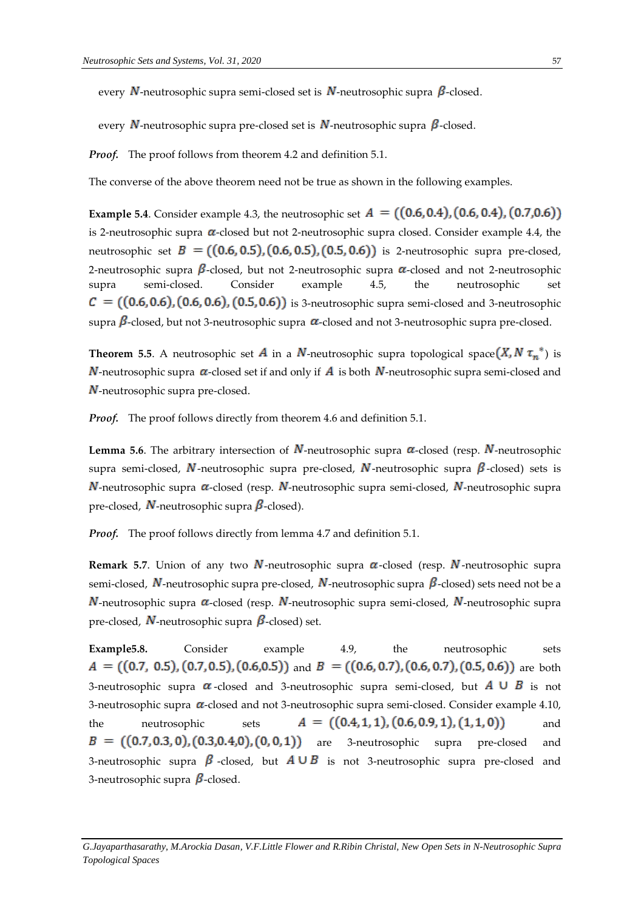every N-neutrosophic supra semi-closed set is N-neutrosophic supra  $\beta$ -closed.

every N-neutrosophic supra pre-closed set is N-neutrosophic supra  $\beta$ -closed.

*Proof.* The proof follows from theorem 4.2 and definition 5.1.

The converse of the above theorem need not be true as shown in the following examples.

**Example 5.4**. Consider example 4.3, the neutrosophic set  $A = ((0.6, 0.4), (0.6, 0.4), (0.7, 0.6))$ is 2-neutrosophic supra  $\alpha$ -closed but not 2-neutrosophic supra closed. Consider example 4.4, the neutrosophic set  $B = ((0.6, 0.5), (0.6, 0.5), (0.5, 0.6))$  is 2-neutrosophic supra pre-closed, 2-neutrosophic supra  $\beta$ -closed, but not 2-neutrosophic supra  $\alpha$ -closed and not 2-neutrosophic supra semi-closed. Consider example 4.5, the neutrosophic set  $\mathcal{C} = ((0.6, 0.6), (0.6, 0.6), (0.5, 0.6))$  is 3-neutrosophic supra semi-closed and 3-neutrosophic supra  $\beta$ -closed, but not 3-neutrosophic supra  $\alpha$ -closed and not 3-neutrosophic supra pre-closed.

**Theorem 5.5**. A neutrosophic set **A** in a **N**-neutrosophic supra topological space  $(X, N \tau_n^*)$  is  $N$ -neutrosophic supra  $\alpha$ -closed set if and only if  $A$  is both  $N$ -neutrosophic supra semi-closed and  $N$ -neutrosophic supra pre-closed.

*Proof.* The proof follows directly from theorem 4.6 and definition 5.1.

**Lemma 5.6**. The arbitrary intersection of  $N$ -neutrosophic supra  $\alpha$ -closed (resp.  $N$ -neutrosophic supra semi-closed,  $\vec{N}$ -neutrosophic supra pre-closed,  $\vec{N}$ -neutrosophic supra  $\beta$ -closed) sets is  $N$ -neutrosophic supra  $\alpha$ -closed (resp.  $N$ -neutrosophic supra semi-closed,  $N$ -neutrosophic supra pre-closed,  $N$ -neutrosophic supra  $\beta$ -closed).

*Proof.* The proof follows directly from lemma 4.7 and definition 5.1.

**Remark 5.7.** Union of any two N-neutrosophic supra  $\alpha$ -closed (resp. N-neutrosophic supra semi-closed,  $N$ -neutrosophic supra pre-closed,  $N$ -neutrosophic supra  $\beta$ -closed) sets need not be a  $N$ -neutrosophic supra  $\alpha$ -closed (resp.  $N$ -neutrosophic supra semi-closed,  $N$ -neutrosophic supra pre-closed,  $N$ -neutrosophic supra  $\beta$ -closed) set.

**Example5.8.** Consider example 4.9, the neutrosophic sets  $A = ((0.7, 0.5), (0.7, 0.5), (0.6, 0.5))$  and  $B = ((0.6, 0.7), (0.6, 0.7), (0.5, 0.6))$  are both 3-neutrosophic supra  $\alpha$ -closed and 3-neutrosophic supra semi-closed, but  $A \cup B$  is not 3-neutrosophic supra  $\alpha$ -closed and not 3-neutrosophic supra semi-closed. Consider example 4.10, the neutrosophic sets  $A = ((0.4, 1, 1), (0.6, 0.9, 1), (1, 1, 0))$  and  $B = ((0.7, 0.3, 0), (0.3, 0.4, 0), (0, 0, 1))$  are 3-neutrosophic supra pre-closed and 3-neutrosophic supra  $\beta$  -closed, but  $A \cup B$  is not 3-neutrosophic supra pre-closed and 3-neutrosophic supra  $\beta$ -closed.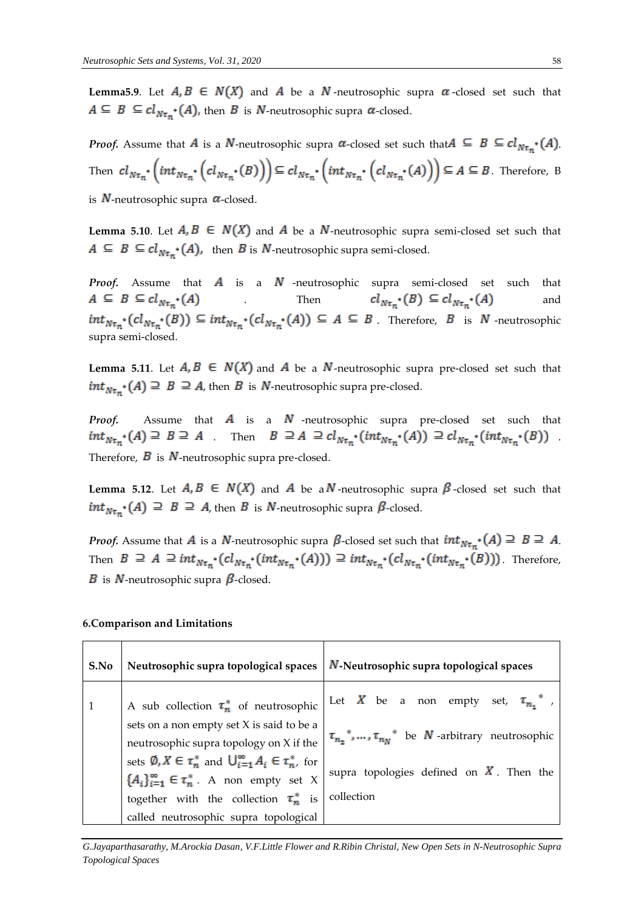**Lemma5.9.** Let  $A, B \in N(X)$  and  $A$  be a  $N$ -neutrosophic supra  $\alpha$ -closed set such that  $A \subseteq B \subseteq cl_{N\tau_m^*}(A)$ , then B is N-neutrosophic supra  $\alpha$ -closed.

*Proof.* Assume that *A* is a *N*-neutrosophic supra  $\alpha$ -closed set such that  $A \subseteq B \subseteq cl_{N\tau_{n}}(A)$ . Then  $cl_{N\tau_{n}}\cdot \left(int_{N\tau_{n}}\cdot \left(cl_{N\tau_{n}}\cdot (B)\right)\right)\subseteq cl_{N\tau_{n}}\cdot \left(int_{N\tau_{n}}\cdot \left(cl_{N\tau_{n}}\cdot (A)\right)\right)\subseteq A\subseteq B$ . Therefore, B

is  $N$ -neutrosophic supra  $\alpha$ -closed.

**Lemma 5.10**. Let  $A, B \in N(X)$  and  $A$  be a  $N$ -neutrosophic supra semi-closed set such that  $A \subseteq B \subseteq cl_{N\tau_n} (A)$ , then B is N-neutrosophic supra semi-closed.

**Proof.** Assume that  $A$  is a  $N$  -neutrosophic supra semi-closed set such that  $A \subseteq B \subseteq cl_{N\tau_n} \cdot (A)$  and  $Cl_{N\tau_n} \cdot (B) \subseteq cl_{N\tau_n} \cdot (A)$  and Then  $cl_{N\tau_n} (B) \subseteq cl_{N\tau_n} (A)$  and  $int_{N\tau_n} (cl_{N\tau_n} (B)) \subseteq int_{N\tau_n} (cl_{N\tau_n} (A)) \subseteq A \subseteq B$ . Therefore, B is N -neutrosophic supra semi-closed.

**Lemma 5.11**. Let  $A, B \in N(X)$  and  $A$  be a  $N$ -neutrosophic supra pre-closed set such that  $int_{N\tau_n} (A) \supseteq B \supseteq A$ , then B is N-neutrosophic supra pre-closed.

*Proof.* Assume that  $\vec{A}$  is a  $\vec{N}$  -neutrosophic supra pre-closed set such that  $int_{N\tau_n} (A) \supseteq B \supseteq A$  Then  $B \supseteq A \supseteq cl_{N\tau_n} (int_{N\tau_n} (A)) \supseteq cl_{N\tau_n} (int_{N\tau_n} (B))$ Therefore,  $\vec{B}$  is  $\vec{N}$ -neutrosophic supra pre-closed.

**Lemma 5.12.** Let  $A, B \in N(X)$  and  $A$  be a  $N$ -neutrosophic supra  $\beta$ -closed set such that  $int_{N\tau_n} (A) \supseteq B \supseteq A$ , then B is N-neutrosophic supra  $\beta$ -closed.

*Proof.* Assume that A is a N-neutrosophic supra  $\beta$ -closed set such that  $int_{N_{\tau}} (A) \supseteq B \supseteq A$ . Then  $B \supseteq A \supseteq int_{N\tau_n^*}(cl_{N\tau_n^*}(int_{N\tau_n^*}(A))) \supseteq int_{N\tau_n^*}(cl_{N\tau_n^*}(int_{N\tau_n^*}(B)))$ . Therefore, **B** is **N**-neutrosophic supra  $\beta$ -closed.

| S.No | Neutrosophic supra topological spaces                                                                                                           | N-Neutrosophic supra topological spaces                                   |
|------|-------------------------------------------------------------------------------------------------------------------------------------------------|---------------------------------------------------------------------------|
|      | A sub collection $\tau_n^*$ of neutrosophic                                                                                                     | Let X be a non empty set, $\tau_{n}$ ,                                    |
|      | sets on a non empty set X is said to be a<br>neutrosophic supra topology on X if the                                                            | $\tau_{n_{n}}^{*}, \ldots, \tau_{n_{N}}^{*}$ be N -arbitrary neutrosophic |
|      | sets $\emptyset, X \in \tau_n^*$ and $\bigcup_{i=1}^{\infty} A_i \in \tau_n^*$ , for<br>${A_i}_{i=1}^{\infty} \in \tau_n^*$ . A non empty set X | supra topologies defined on $X$ . Then the                                |
|      | together with the collection $\tau_n^*$ is                                                                                                      | collection                                                                |
|      | called neutrosophic supra topological                                                                                                           |                                                                           |

#### **6.Comparison and Limitations**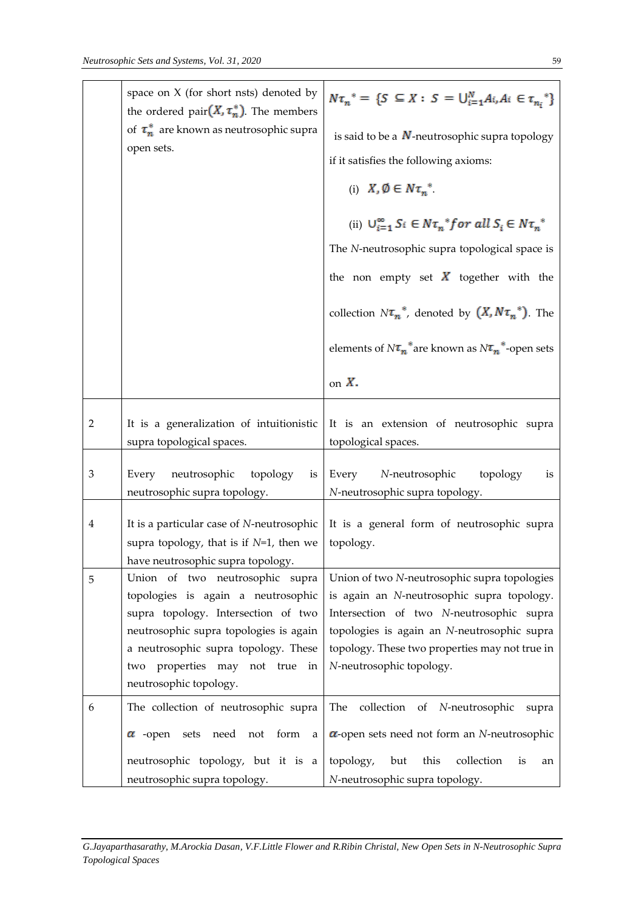|                         | space on $X$ (for short nsts) denoted by<br>the ordered pair $(X, \tau_n^*)$ . The members<br>of $\tau_n^*$ are known as neutrosophic supra<br>open sets.                                                                                                     | $N\tau_n^* = \{S \subseteq X : S = \bigcup_{i=1}^N A_i, A_i \in \tau_n^*\}$<br>is said to be a $N$ -neutrosophic supra topology<br>if it satisfies the following axioms:<br>(i) $X, \emptyset \in N\tau_n^*$ .<br>(ii) $U_{i=1}^{\infty} S_i \in N \tau_n^* for \ all \ S_i \in N \tau_n^*$<br>The N-neutrosophic supra topological space is<br>the non empty set $\vec{X}$ together with the<br>collection $N\tau_n^*$ , denoted by $(X, N\tau_n^*)$ . The<br>elements of $N\tau_n^*$ are known as $N\tau_n^*$ -open sets<br>on $X$ . |
|-------------------------|---------------------------------------------------------------------------------------------------------------------------------------------------------------------------------------------------------------------------------------------------------------|----------------------------------------------------------------------------------------------------------------------------------------------------------------------------------------------------------------------------------------------------------------------------------------------------------------------------------------------------------------------------------------------------------------------------------------------------------------------------------------------------------------------------------------|
|                         |                                                                                                                                                                                                                                                               |                                                                                                                                                                                                                                                                                                                                                                                                                                                                                                                                        |
| $\overline{2}$          | It is a generalization of intuitionistic<br>supra topological spaces.                                                                                                                                                                                         | It is an extension of neutrosophic supra<br>topological spaces.                                                                                                                                                                                                                                                                                                                                                                                                                                                                        |
| 3                       | Every<br>neutrosophic<br>topology<br>is<br>neutrosophic supra topology.                                                                                                                                                                                       | Every<br>N-neutrosophic<br>topology<br>1S<br>N-neutrosophic supra topology.                                                                                                                                                                                                                                                                                                                                                                                                                                                            |
| $\overline{\mathbf{4}}$ | It is a particular case of N-neutrosophic<br>supra topology, that is if $N=1$ , then we<br>have neutrosophic supra topology.                                                                                                                                  | It is a general form of neutrosophic supra<br>topology.                                                                                                                                                                                                                                                                                                                                                                                                                                                                                |
| 5                       | Union of two neutrosophic supra<br>topologies is again a neutrosophic<br>supra topology. Intersection of two<br>neutrosophic supra topologies is again<br>a neutrosophic supra topology. These<br>two properties may not true<br>in<br>neutrosophic topology. | Union of two N-neutrosophic supra topologies<br>is again an N-neutrosophic supra topology.<br>Intersection of two N-neutrosophic supra<br>topologies is again an N-neutrosophic supra<br>topology. These two properties may not true in<br>N-neutrosophic topology.                                                                                                                                                                                                                                                                    |
| 6                       | The collection of neutrosophic supra<br>$\alpha$ -open<br>sets need not form<br>a                                                                                                                                                                             | The<br>collection of N-neutrosophic<br>supra<br>$\alpha$ -open sets need not form an N-neutrosophic                                                                                                                                                                                                                                                                                                                                                                                                                                    |
|                         | neutrosophic topology, but it is a<br>neutrosophic supra topology.                                                                                                                                                                                            | collection<br>topology,<br>but<br>this<br>is<br>an<br>N-neutrosophic supra topology.                                                                                                                                                                                                                                                                                                                                                                                                                                                   |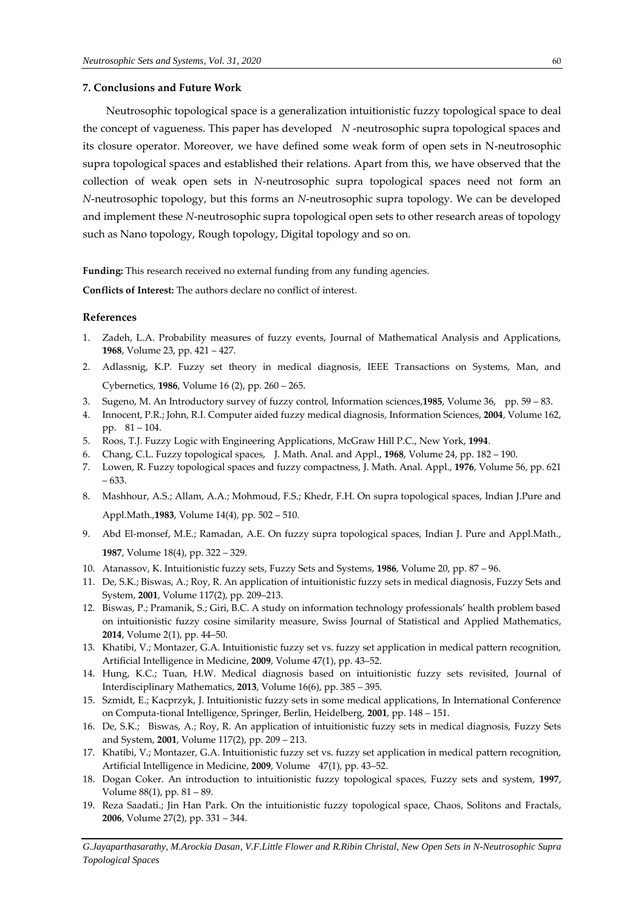#### **7. Conclusions and Future Work**

Neutrosophic topological space is a generalization intuitionistic fuzzy topological space to deal the concept of vagueness. This paper has developed *N* -neutrosophic supra topological spaces and its closure operator. Moreover, we have defined some weak form of open sets in N-neutrosophic supra topological spaces and established their relations. Apart from this, we have observed that the collection of weak open sets in *N*-neutrosophic supra topological spaces need not form an *N*-neutrosophic topology, but this forms an *N*-neutrosophic supra topology. We can be developed and implement these *N*-neutrosophic supra topological open sets to other research areas of topology such as Nano topology, Rough topology, Digital topology and so on.

**Funding:** This research received no external funding from any funding agencies.

**Conflicts of Interest:** The authors declare no conflict of interest.

#### **References**

- 1. Zadeh, L.A. Probability measures of fuzzy events, Journal of Mathematical Analysis and Applications, **1968**, Volume 23, pp. 421 – 427.
- 2. Adlassnig, K.P. Fuzzy set theory in medical diagnosis, IEEE Transactions on Systems, Man, and Cybernetics, **1986**, Volume 16 (2), pp. 260 – 265.
- 3. Sugeno, M. An Introductory survey of fuzzy control, Information sciences,**1985**, Volume 36, pp. 59 83.
- 4. Innocent, P.R.; John, R.I. Computer aided fuzzy medical diagnosis, Information Sciences, **2004**, Volume 162, pp. 81 – 104.
- 5. Roos, T.J. Fuzzy Logic with Engineering Applications, McGraw Hill P.C., New York, **1994**.
- 6. Chang, C.L. Fuzzy topological spaces, J. Math. Anal. and Appl., **1968**, Volume 24, pp. 182 190.
- 7. Lowen, R. Fuzzy topological spaces and fuzzy compactness, J. Math. Anal. Appl., **1976**, Volume 56, pp. 621 – 633.
- 8. Mashhour, A.S.; Allam, A.A.; Mohmoud, F.S.; Khedr, F.H. On supra topological spaces, Indian J.Pure and Appl.Math.,**1983**, Volume 14(4), pp. 502 – 510.
- 9. Abd El-monsef, M.E.; Ramadan, A.E. On fuzzy supra topological spaces, Indian J. Pure and Appl.Math., **1987**, Volume 18(4), pp. 322 – 329.
- 10. Atanassov, K. Intuitionistic fuzzy sets, Fuzzy Sets and Systems, **1986**, Volume 20, pp. 87 96.
- 11. De, S.K.; Biswas, A.; Roy, R. An application of intuitionistic fuzzy sets in medical diagnosis, Fuzzy Sets and System, **2001**, Volume 117(2), pp. 209–213.
- 12. Biswas, P.; Pramanik, S.; Giri, B.C. A study on information technology professionals' health problem based on intuitionistic fuzzy cosine similarity measure, Swiss Journal of Statistical and Applied Mathematics, **2014**, Volume 2(1), pp. 44–50.
- 13. Khatibi, V.; Montazer, G.A. Intuitionistic fuzzy set vs. fuzzy set application in medical pattern recognition, Artificial Intelligence in Medicine, **2009**, Volume 47(1), pp. 43–52.
- 14. Hung, K.C.; Tuan, H.W. Medical diagnosis based on intuitionistic fuzzy sets revisited, Journal of Interdisciplinary Mathematics, **2013**, Volume 16(6), pp. 385 – 395.
- 15. Szmidt, E.; Kacprzyk, J. Intuitionistic fuzzy sets in some medical applications, In International Conference on Computa-tional Intelligence, Springer, Berlin, Heidelberg, **2001**, pp. 148 – 151.
- 16. De, S.K.; Biswas, A.; Roy, R. An application of intuitionistic fuzzy sets in medical diagnosis, Fuzzy Sets and System, **2001**, Volume 117(2), pp. 209 – 213.
- 17. Khatibi, V.; Montazer, G.A. Intuitionistic fuzzy set vs. fuzzy set application in medical pattern recognition, Artificial Intelligence in Medicine, **2009**, Volume 47(1), pp. 43–52.
- 18. Dogan Coker. An introduction to intuitionistic fuzzy topological spaces, Fuzzy sets and system, **1997**, Volume 88(1), pp. 81 – 89.
- 19. Reza Saadati.; Jin Han Park. On the intuitionistic fuzzy topological space, Chaos, Solitons and Fractals, **2006**, Volume 27(2), pp. 331 – 344.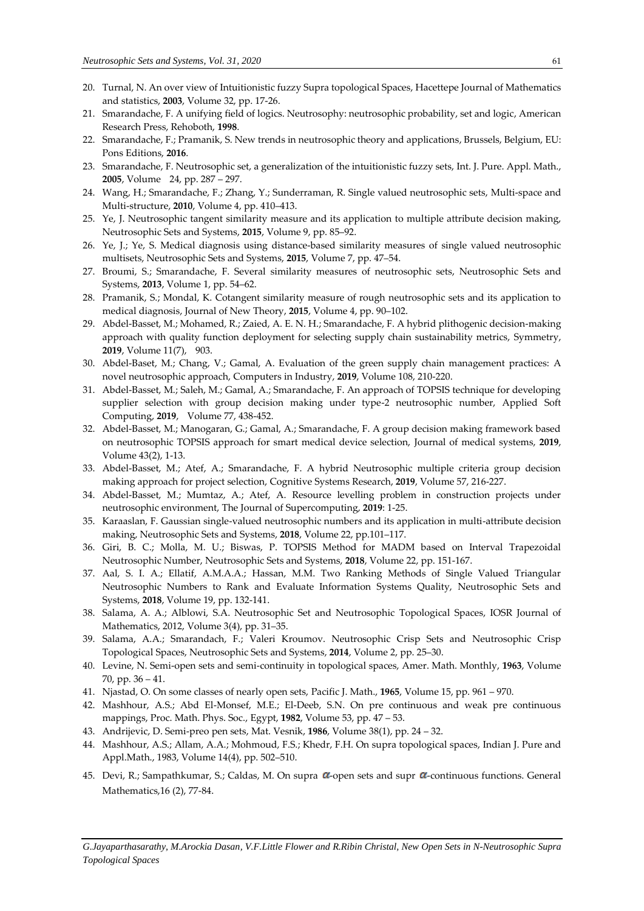- 20. Turnal, N. An over view of Intuitionistic fuzzy Supra topological Spaces, Hacettepe Journal of Mathematics and statistics, **2003**, Volume 32, pp. 17-26.
- 21. Smarandache, F. A unifying field of logics. Neutrosophy: neutrosophic probability, set and logic, American Research Press, Rehoboth, **1998**.
- 22. Smarandache, F.; Pramanik, S. New trends in neutrosophic theory and applications, Brussels, Belgium, EU: Pons Editions, **2016**.
- 23. Smarandache, F. Neutrosophic set, a generalization of the intuitionistic fuzzy sets, Int. J. Pure. Appl. Math., **2005**, Volume 24, pp. 287 – 297.
- 24. Wang, H.; Smarandache, F.; Zhang, Y.; Sunderraman, R. Single valued neutrosophic sets, Multi-space and Multi-structure, **2010**, Volume 4, pp. 410–413.
- 25. Ye, J. Neutrosophic tangent similarity measure and its application to multiple attribute decision making, Neutrosophic Sets and Systems, **2015**, Volume 9, pp. 85–92.
- 26. Ye, J.; Ye, S. Medical diagnosis using distance-based similarity measures of single valued neutrosophic multisets, Neutrosophic Sets and Systems, **2015**, Volume 7, pp. 47–54.
- 27. Broumi, S.; Smarandache, F. Several similarity measures of neutrosophic sets, Neutrosophic Sets and Systems, **2013**, Volume 1, pp. 54–62.
- 28. Pramanik, S.; Mondal, K. Cotangent similarity measure of rough neutrosophic sets and its application to medical diagnosis, Journal of New Theory, **2015**, Volume 4, pp. 90–102.
- 29. Abdel-Basset, M.; Mohamed, R.; Zaied, A. E. N. H.; Smarandache, F. A hybrid plithogenic decision-making approach with quality function deployment for selecting supply chain sustainability metrics, Symmetry, **2019**, Volume 11(7), 903.
- 30. Abdel-Baset, M.; Chang, V.; Gamal, A. Evaluation of the green supply chain management practices: A novel neutrosophic approach, Computers in Industry, **2019**, Volume 108, 210-220.
- 31. Abdel-Basset, M.; Saleh, M.; Gamal, A.; Smarandache, F. An approach of TOPSIS technique for developing supplier selection with group decision making under type-2 neutrosophic number, Applied Soft Computing, **2019**, Volume 77, 438-452.
- 32. Abdel-Basset, M.; Manogaran, G.; Gamal, A.; Smarandache, F. A group decision making framework based on neutrosophic TOPSIS approach for smart medical device selection, Journal of medical systems, **2019**, Volume 43(2), 1-13.
- 33. Abdel-Basset, M.; Atef, A.; Smarandache, F. A hybrid Neutrosophic multiple criteria group decision making approach for project selection, Cognitive Systems Research, **2019**, Volume 57, 216-227.
- 34. Abdel-Basset, M.; Mumtaz, A.; Atef, A. Resource levelling problem in construction projects under neutrosophic environment, The Journal of Supercomputing, **2019**: 1-25.
- 35. Karaaslan, F. Gaussian single-valued neutrosophic numbers and its application in multi-attribute decision making, Neutrosophic Sets and Systems, **2018**, Volume 22, pp.101–117.
- 36. Giri, B. C.; Molla, M. U.; Biswas, P. TOPSIS Method for MADM based on Interval Trapezoidal Neutrosophic Number, Neutrosophic Sets and Systems, **2018**, Volume 22, pp. 151-167.
- 37. Aal, S. I. A.; Ellatif, A.M.A.A.; Hassan, M.M. Two Ranking Methods of Single Valued Triangular Neutrosophic Numbers to Rank and Evaluate Information Systems Quality, Neutrosophic Sets and Systems, **2018**, Volume 19, pp. 132-141.
- 38. Salama, A. A.; Alblowi, S.A. Neutrosophic Set and Neutrosophic Topological Spaces, IOSR Journal of Mathematics, 2012, Volume 3(4), pp. 31–35.
- 39. Salama, A.A.; Smarandach, F.; Valeri Kroumov. Neutrosophic Crisp Sets and Neutrosophic Crisp Topological Spaces, Neutrosophic Sets and Systems, **2014**, Volume 2, pp. 25–30.
- 40. Levine, N. Semi-open sets and semi-continuity in topological spaces, Amer. Math. Monthly, **1963**, Volume 70, pp. 36 – 41.
- 41. Njastad, O. On some classes of nearly open sets, Pacific J. Math., **1965**, Volume 15, pp. 961 970.
- 42. Mashhour, A.S.; Abd El-Monsef, M.E.; El-Deeb, S.N. On pre continuous and weak pre continuous mappings, Proc. Math. Phys. Soc., Egypt, **1982**, Volume 53, pp. 47 – 53.
- 43. Andrijevic, D. Semi-preo pen sets, Mat. Vesnik, **1986**, Volume 38(1), pp. 24 32.
- 44. Mashhour, A.S.; Allam, A.A.; Mohmoud, F.S.; Khedr, F.H. On supra topological spaces, Indian J. Pure and Appl.Math., 1983, Volume 14(4), pp. 502–510.
- 45. Devi, R.; Sampathkumar, S.; Caldas, M. On supra  $\alpha$ -open sets and supr  $\alpha$ -continuous functions. General Mathematics,16 (2), 77-84.